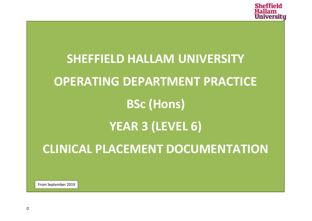

# **SHEFFIELD HALLAM UNIVERSITY OPERATING DEPARTMENT PRACTICE BSc (Hons) YEAR 3 (LEVEL 6) CLINICAL PLACEMENT DOCUMENTATION**

From September 2019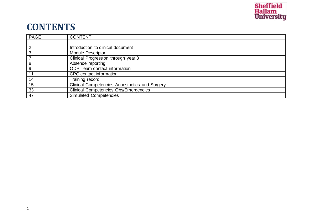

### **CONTENTS**

| <b>PAGE</b> | <b>CONTENT</b>                                        |
|-------------|-------------------------------------------------------|
|             |                                                       |
|             | Introduction to clinical document                     |
|             | <b>Module Descriptor</b>                              |
|             | Clinical Progression through year 3                   |
| 8           | Absence reporting                                     |
| 9           | <b>ODP</b> Team contact information                   |
| 11          | CPC contact information                               |
| 14          | Training record                                       |
| 15          | <b>Clinical Competencies Anaesthetics and Surgery</b> |
| 33          | <b>Clinical Competencies Obs/Emergencies</b>          |
| 47          | <b>Simulated Competencies</b>                         |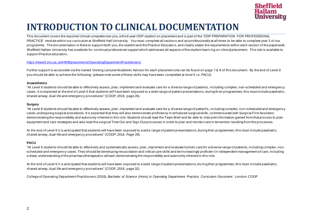

### **INTRODUCTION TO CLINICAL DOCUMENTATION**

This document covers the required clinical competencies you, a third year ODP student on placement and is part of the 'ODP PREPARATION FOR PROFESSIONAL PRACTICE' module within our curriculum at Sheffield Hall University. You must complete all sections and act professionally at all times to be able to complete year 3 of our programme. The documentation is there to support both you, the student and the Practice Educators, and clearly states the requirements within each section of the paperwork. Sheffield Hallam University has a website for continual professional support which addresses all aspects of the student learn ing on clinical placement. This site is available to support Practice educators.

#### <https://www3.shu.ac.uk/HWB/placements/OperatingDepartmentPractitioners/>

Further support is accessible via the named Visiting Lecturer/Academic Advisor for each placement site can be found on page 7 & 8 of this document. By the end of Level 6 you should be able to achieve the following: (please note some of these skills may have been completed at level 5 i.e. PACU)

#### **Anaesthetics**

"At Level 6 students should be able to effectively assess, plan, implement and evaluate care for a diverse range of patients, including complex, non-scheduled and emergency cases. It is expected at the end of Level 6 that students will have been exposed to a wide range of patient presentations, during th eir programmes; this must include paediatric, shared airway, dual life and emergency procedures" (CODP, 2018, page 26).

#### **Surgery**

"At Level 6 students should be able to effectively assess, plan, implement and evaluate care for a diverse range of patient's, including complex, non-scheduled and emergency cases undergoing surgical procedures. It is expected that they will also demonstrate proficiency in enhanced surgical skills, commensurate with Surgical First Assistant; demonstrating the responsibility and autonomy inherent in this role. Students should lead the Team Brief and be able to inter pret information gained from that process to plan equipment and care strategies and also lead the surgical Time Out and Sign Out processes in order to plan and monitor care in tervention resulting from the processes.

At the end of Level 6 it is anticipated that students will have been exposed to a wid e range of patient presentations, during their programmes; this must include paediatric, shared airway, dual life and emergency procedures" (CODP, 2018, Page 29).

#### **PACU**

"At Level 6 students should be able to effectively and systematically assess, plan, impl ement and evaluate holistic care for a diverse range of patients, including complex, nonscheduled and emergency cases. They should be developing resuscitation and critical care skills and be increasingly proficien t in independent management of care, including a deep understanding of the pharmacotherapeutics utilised; demonstrating the responsibility and autonomy inherent in this role.

At the end of Level 6 it is anticipated that students will have been exposed to a wide range of patient presentations, during their programmes; this must include paediatric, shared airway, dual life and emergency procedures" (CODP, 2018, page 32).

College of Operating Department Practitioners (2018), *Bachelor of Science (Hons) in Operating Department Practice; Curriculum Document*. London: CODP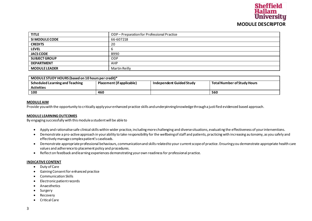#### **Sheffield** Hallam **University MODULE DESCRIPTOR**

| <b>TITLE</b>         | ODP-Preparation for Professional Practice |
|----------------------|-------------------------------------------|
| SI MODULE CODE       | 66-607218                                 |
| <b>CREDITS</b>       | 20                                        |
| <b>LEVEL</b>         |                                           |
| <b>JACS CODE</b>     | B990                                      |
| <b>SUBJECT GROUP</b> | <b>ODP</b>                                |
| <b>DEPARTMENT</b>    | AHP                                       |
| <b>MODULE LEADER</b> | Martin Reilly                             |

| MODULE STUDY HOURS (based on 10 hours per credit)* |                           |                          |                                    |
|----------------------------------------------------|---------------------------|--------------------------|------------------------------------|
| Scheduled Learning and Teaching                    | Placement (if applicable) | Independent Guided Study | <b>Total Number of Study Hours</b> |
| <b>Activities</b>                                  |                           |                          |                                    |
| 100                                                | 460                       |                          | 560                                |

#### **MODULE AIM**

Provide you with the opportunity to critically apply your enhanced practice skills and underpinning knowledge through a justified evidenced based approach.

#### **MODULE LEARNING OUTCOMES**

By engaging successfully with this module a student will be able to

- Apply and rationalise safe clinical skills within wider practice, including more challenging and diverse situations, evaluating the effectiveness of your interventions.
- Demonstrate a pro-active approach in your ability to take responsibility for the wellbeing of staff and patients, practicing with increasing autonomy, as you safely and effectively manage complex patient's caseloads.
- Demonstrate appropriate professional behaviours, communication and skills related to your current scope of practice. Ensuring you demonstrate appropriate health care values and adherence to placement policy and procedures.
- Reflect on feedback and learning experiences demonstrating your own readiness for professional practice.

#### **INDICATIVE CONTENT**

- Duty of Care
- Gaining Consent for enhanced practice
- Communication Skills
- Electronic patient records
- **Anaesthetics**
- Surgery
- Recovery
- Critical Care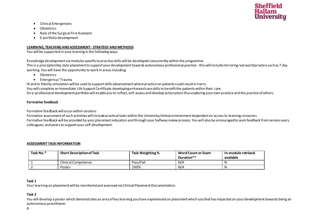

- Clinical Emergencies
- Obstetrics
- Role of the Surgical First Assistant.
- E-portfolio development

#### **LEARNING, TEACHING AND ASSESSMENT - STRATEGY AND METHODS**

You will be supported in your learning in the following ways:

Knowledge development via modules specific to practice skills will be developed concurrently within the programme.

This is a preceptorship style placement to support your development towards autonomous professional practice -this will include mirroring real world practice such as 7 day working. You will have the opportunity to work in areas including:

- Obstetrics
- Emergency / Trauma

Hi and lo fidelity simulation will be used to support skills advancement where practice on patients could result in harm. You will complete an Immediate Life Support Certificate developing enhanced care skills to benefit the patients within their care. An e-professional development portfolio will enable you to reflect, self-assess and develop action plans thus exploring your own practice and the practice of others.

#### **Formative feedback**

Formative feedback will occur within sessions

Formative assessment of such activities will include practical tasks within the University/clinical environment dependant on access to learning resources.

Formative feedback will be provided by your placement educators and through your halfway review process. You will also be encouraged to seek feedback from service users, colleagues, and peers to support your self-development.

#### **ASSESSMENT TASK INFORMATION**

| Task No.* | <b>Short Description of Task</b> | Task Weighting % | <b>Word Count or Exam</b><br>Duration** | In-module retrieval<br>available |
|-----------|----------------------------------|------------------|-----------------------------------------|----------------------------------|
|           | Clinical Competence              | Pass/Fail        | N/A                                     | N                                |
|           | Poster                           | 100%             | N/A                                     | N                                |

#### **Task 1**

Your learning on placement will be monitored and assessed via Clinical Placement Documentation.

#### **Task 2**

You will develop a poster which demonstrates an area of key learning you have experienced on placement which you feel has impacted on your development towards being an autonomous practitioner.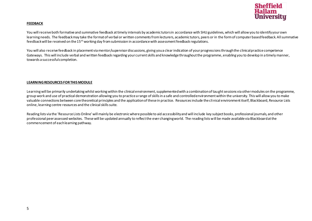

#### **FEEDBACK**

You will receive both formative and summative feedback at timely intervals by academic tutors in accordance with SHU guidelines, which will allow you to identify your own learning needs. The feedback may take the format of verbal or written comments from lecturers, academic tutors, peers or in the form of computer based feedback. All summative feedback will be received on the  $15<sup>th</sup>$  working day from submission in accordance with assessment feedback regulations.

You will also receive feedback in placement via mentor/supervisor discussions, giving you a clear indication of your progressions through the clinical practice competence Gateways. This will include verbal and written feedback regarding your current skills and knowledge throughout the programme, enabling you to develop in a timely manner, towards a successful completion.

#### **LEARNING RESOURCES FOR THIS MODULE**

Learning will be primarily undertaking whilst working within the clinical environment, supplemented with a combination of taught sessions via other modules on the programme, group work and use of practical demonstration allowing you to practice a range of skills in a safe and controlled environment within the university. This will allow you to make valuable connections between core theoretical principles and the application of these in practice. Resources include the clinical environment itself, Blackboard, Resource Lists online, learning centre resources and the clinical skills suite.

Reading lists via the 'Resource Lists Online' will mainly be electronic where possible to aid accessibility and will include key subject books, professional journals, and other professional peer assessed websites. These will be updated annually to reflect the ever changing world. The reading lists will be made available via Blackboard at the commencement of each learning pathway.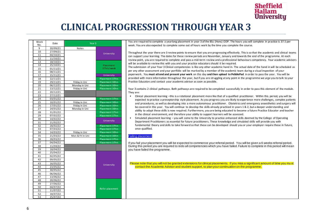

### **CLINICAL PROGRESSION THROUGH YEAR 3**

| Week<br>No. | Date                 | Year <sub>3</sub>              |                                           |
|-------------|----------------------|--------------------------------|-------------------------------------------|
| 9           | 20/09/21             | Notes                          |                                           |
| 10          | 27/09/21             |                                |                                           |
| 11          | 04/10/21             |                                | University                                |
| 12          | 11/10/21             |                                |                                           |
| 13          | 18/10/21             |                                |                                           |
| 14          | 25/10/21             |                                | Placement                                 |
| 15          | 01/11/21             |                                | 37hrs/week                                |
| 16          | 08/11/21             |                                |                                           |
| 17          | 15/11/21             |                                | <b>University</b>                         |
| 18          | 22/11/21             |                                | Placement 37hrs                           |
| 19          | 29/11/21             | Friday in Uni                  | Placement 30hrs                           |
| 20          | 06/12/21             | Monday in Uni                  | Placement 30hrs                           |
| 21          | 13/12/21             | Friday in Uni                  | Placement 30hrs                           |
| 22          | 20/12/21             |                                |                                           |
| 23          | 27/12/21             |                                |                                           |
| 24          | 03/01/22             |                                | Placement 37hrs                           |
| 25          | 10/01/22             | Friday in Uni                  | Placement 30hrs                           |
| 26<br>27    | 17/01/22<br>24/01/22 | Friday in Uni<br>Monday in Uni | Placement 30hrs<br><b>Placement 30hrs</b> |
| 28          | 31/01/22             |                                | Placement 37hrs                           |
| 29          | 07/02/22             |                                | Placement 37hrs                           |
| 30          | 14/02/22             |                                |                                           |
| 31          | 21/02/22             |                                | University                                |
| 32          | 28/02/22             |                                | Placement 37hrs                           |
| 33          | 07/03/22             |                                | Placement 37hrs                           |
| 34          | 14/03/22             | Friday in Uni                  | Placement 30hrs                           |
| 35          | 21/03/22             | Mon & Fri in Uni               | Placement 30hrs                           |
| 36          | 28/03/22             |                                | <b>Placement 37hrs</b>                    |
| 37          | 04/04/22             |                                | Placement 37hrs                           |
| 38          | 11/04/22             |                                |                                           |
| 39          | 18/04/22             |                                |                                           |
| 40          | 25/04/22             |                                |                                           |
| 41          | 02/05/22             |                                |                                           |
| 42          | 09/05/22             |                                |                                           |
| 43          | 16/05/22             |                                |                                           |
| 44          | 23/05/22             |                                | <b>University</b>                         |
| 45          | 30/05/22             |                                |                                           |
| 46          | 06/06/22             |                                |                                           |
| 47          | 13/06/22             |                                |                                           |
| 48          | 20/06/22             |                                |                                           |
| 49          | 27/06/22             |                                |                                           |
| 50          | 04/07/22             |                                |                                           |
| 51          | 11/07/22             |                                | Refer placement                           |
| 52          | 18/07/22             |                                |                                           |
| 53          | 25/07/22             |                                |                                           |

You are required to complete a yearlong placement in year 3 of the BSc (Hons) ODP. The hours you will complete in practice is 37.5 per week. You are also expected to complete some out of hours work by the time you complete the course.

Throughout the year there are 3 review points to ensure that you are progressing effectively. This is so that the academic and clinical teams can support your learning. The dates for these review periods are November, January and towards the end of the programme. At each review point, you are required to complete and pass a mid-term review and a professional behaviours competency. Your academic advisors will be available to review this with you and your practice educators should it be required.

The submission of your Year 3 Clinical competencies is like any other academic hand in. The actual date of the hand in will be scheduled as per any other assessment and your portfolio will be marked by a member of the academic team during a visual inspection of your paperwork. You **must attend and present your work** on this day **and then upload to PebblePad** in order to pass the year. You will be provided with more information throughout the year, but if you are struggling at any point in the programme we urge you to talk to your Practice Educators and contact your academic advisor as soon as possible.

Year 3 contains 2 clinical pathways. Both pathways are required to be completed successfully in order to pass this element of the module. They are:

- Clinical placement learning –this is a rotational placement more like that of a qualified practitioner. Within this period, you will be expected to practice a preceptorship style placement. As you progress you are likely to experience more challenges, complex patients and procedures, as well as developing into a more autonomous practitioner. Obstetrics and emergency anaesthetics and surgery will be covered in this year. You will continue to develop the skills already practiced in years 1 & 2, but a deeper understanding and ability to adapt these skills is now required. Furthermore, you are being educated to become a future Practice Educator and teacher in the clinical environment, and therefore your ability to support learners will be assessed.
- Simulated placement learning you will come to the University to practice enhanced skills deemed by the College of Operating Department Practitioners as essential for future practitioners. These knowledge and simulated skills will provide you with fundamental theory and skills to take forward so that these can be developed should you or your employer require these in future, once qualified.

#### **Failing placement**

If you fail your placement you will be expected to commence your referral period. You will be given a 6 weeks referral period. During this period you are required to redo all competencies which you have failed. Failure to complete in this period will mean you have failed the programme.

Please note that you will not be granted extensions for clinical placements. If you miss a significant amount of time you mu st contact the Academic Advisor and student support, to plan your continuation on the programme.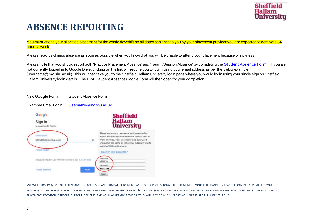

### **ABSENCE REPORTING**

You must attend your allocated placement for the whole day/shift on all dates assigned to you by your placement provider you are expected to complete 34 hours a week.

Please report sickness absence as soon as possible when you know that you will be unable to attend your placement because of sickness.

Please note that you should report both 'Practice Placement Absence' and 'Taught Session Absence' by completing the [Student Absence Form](https://docs.google.com/forms/d/e/1FAIpQLSdzs7Q-2Vlm070GRz0akFpY-27U3Okg9kAkWqrWxi4SpdJ2XA/viewform). If you are not currently logged in to Google Drive, clicking on the link will require you to log in using your email address as per the below example (username@my.shu.ac.uk). This will then take you to the Sheffield Hallam University login page where you would login using your single sign on Sheffield Hallam University login details. The HWB Student Absence Google Form will then open for your completion.



WE WILL CLOSELY MONITOR ATTENDANCE IN ACADEMIC AND CLINICAL PLACEMENT AS THIS IS A PROFESSIONAL REQUIREMENT. POOR ATTENDANCE IN PRACTICE CAN DIRECTLY AFFECT YOUR PROGRESS IN THE PRACTICE BASED LEARNING ENVIRONMENTS AND ON THE COURSE. IF YOU ARE GOING TO REQUIRE SIGNIFICANT TIME OUT OF PLACEMENT DUE TO SICKNESS YOU MUST TALK TO PLACEMENT PROVIDER, STUDENT SUPPORT OFFICERS AND YOUR ACADEMIC ADVISOR WHO WILL ADVISE AND SUPPORT YOU PLEASE SEE THE ABSENCE POLICY.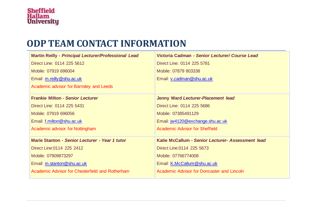### **ODP TEAM CONTACT INFORMATION**

| <b>Martin Reilly - Principal Lecturer/Professional Lead</b> | Victoria Cadman - Senior Lecturer/ Course Lead    |
|-------------------------------------------------------------|---------------------------------------------------|
| Direct Line: 0114 225 5612                                  | Direct Line: 0114 225 5781                        |
| Mobile: 07919 696004                                        | Mobile: 07879 803338                              |
| Email: m.reilly@shu.ac.uk                                   | Email: v.cadman@shu.ac.uk                         |
| <b>Academic advisor for Barnsley and Leeds</b>              |                                                   |
| <b>Frankie Milton - Senior Lecturer</b>                     | Jenny Ward Lecturer-Placement lead                |
| Direct Line: 0114 225 5431                                  | Direct Line: 0114 225 5686                        |
| Mobile: 07919 696056                                        | Mobile: 07385491129                               |
| Email: f.milton@shu.ac.uk                                   | Email: jw4120@exchange.shu.ac.uk                  |
| Academic advisor for Nottingham                             | <b>Academic Advisor for Sheffield</b>             |
| Marie Stanton - Senior Lecturer - Year 1 tutor              | Katie McCallum - Senior Lecturer- Assessment lead |
| Direct Line: 0114 225 2412                                  | Direct Line: 0114 225 5673                        |
| Mobile: 07909873297                                         | Mobile: 07766774008                               |
| Email: m.stanton@shu.ac.uk                                  | Email: K.McCallum@shu.ac.uk                       |
| Academic Advisor for Chesterfield and Rotherham             | Academic Advisor for Doncaster and Lincoln        |
|                                                             |                                                   |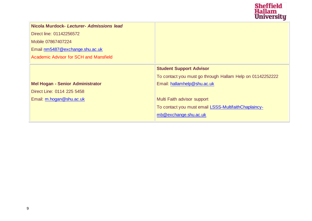

| Nicola Murdock- Lecturer- Admissions lead |                                                           |
|-------------------------------------------|-----------------------------------------------------------|
| Direct line: 01142256572                  |                                                           |
| Mobile 07867407224                        |                                                           |
| Email nm5487@exchange.shu.ac.uk           |                                                           |
| Academic Advisor for SCH and Mansfield    |                                                           |
|                                           | <b>Student Support Advisor</b>                            |
|                                           | To contact you must go through Hallam Help on 01142252222 |
| <b>Mel Hogan - Senior Administrator</b>   | Email: hallamhelp@shu.ac.uk                               |
| Direct Line: 0114 225 5458                |                                                           |
| Email: m.hogan@shu.ac.uk                  | Multi Faith advisor support                               |
|                                           | To contact you must email LSSS-MultifaithChaplaincy-      |
|                                           | mb@exchange.shu.ac.uk                                     |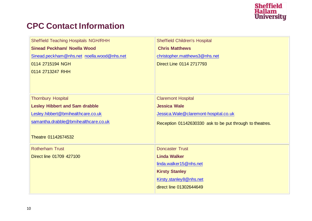# Sheffield<br>Hallam<br>University

#### **CPC Contact Information**

| <b>Sheffield Teaching Hospitals NGH/RHH</b> | <b>Sheffield Children's Hospital</b>                     |
|---------------------------------------------|----------------------------------------------------------|
| <b>Sinead Peckham/ Noella Wood</b>          | <b>Chris Matthews</b>                                    |
| Sinead.peckham@nhs.net_noella.wood@nhs.net  | christopher.matthews3@nhs.net                            |
| 0114 2715194 NGH                            | Direct Line 0114 2717793                                 |
| 0114 2713247 RHH                            |                                                          |
|                                             |                                                          |
|                                             |                                                          |
|                                             |                                                          |
| <b>Thornbury Hospital</b>                   | <b>Claremont Hospital</b>                                |
| <b>Lesley Hibbert and Sam drabble</b>       | <b>Jessica Wale</b>                                      |
| Lesley.hibbert@bmihealthcare.co.uk          | Jessica.Wale@claremont-hospital.co.uk                    |
| samantha.drabble@bmihealthcare.co.uk        | Reception 01142630330 ask to be put through to theatres. |
|                                             |                                                          |
| Theatre 01142674532                         |                                                          |
| <b>Rotherham Trust</b>                      | <b>Doncaster Trust</b>                                   |
|                                             |                                                          |
| Direct line 01709 427100                    | <b>Linda Walker</b>                                      |
|                                             | linda.walker15@nhs.net                                   |
|                                             | <b>Kirsty Stanley</b>                                    |
|                                             | Kirsty.stanley8@nhs.net                                  |
|                                             | direct line 01302644649                                  |
|                                             |                                                          |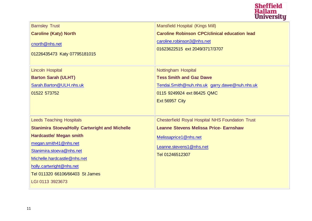

| <b>Barnsley Trust</b><br><b>Caroline (Katy) North</b><br>cnorth@nhs.net<br>01226435473 Katy 07795181015                                                                                                                                                                                           | <b>Mansfield Hospital (Kings Mill)</b><br><b>Caroline Robinson CPC/clinical education lead</b><br>caroline.robinson3@nhs.net<br>01623622515 ext 2049/3717/3707                  |
|---------------------------------------------------------------------------------------------------------------------------------------------------------------------------------------------------------------------------------------------------------------------------------------------------|---------------------------------------------------------------------------------------------------------------------------------------------------------------------------------|
| <b>Lincoln Hospital</b><br><b>Barton Sarah (ULHT)</b><br>Sarah.Barton@ULH.nhs.uk<br>01522 573752                                                                                                                                                                                                  | Nottingham Hospital<br><b>Tess Smith and Gaz Dawe</b><br>Tendai.Smith@nuh.nhs.uk garry.dawe@nuh.nhs.uk<br>0115 9249924 ext 86425 QMC<br><b>Ext 56957 City</b>                   |
| <b>Leeds Teaching Hospitals</b><br><b>Stanimira Stoeva/Holly Cartwright and Michelle</b><br><b>Hardcastle/ Megan smith</b><br>megan.smith41@nhs.net<br>Stanimira.stoeva@nhs.net<br>Michelle.hardcastle@nhs.net<br>holly.cartwright@nhs.net<br>Tel 011320 66106/66403 St James<br>LGI 0113 3923673 | <b>Chesterfield Royal Hospital NHS Foundation Trust</b><br><b>Leanne Stevens Melissa Price- Earnshaw</b><br>Melissaprice1@nhs.net<br>Leanne.stevens1@nhs.net<br>Tel 01246512307 |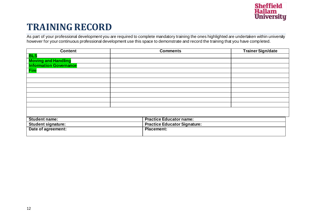

### **TRAINING RECORD**

As part of your professional development you are required to complete mandatory training the ones highlighted are undertaken within university however for your continuous professional development use this space to demonstrate and record the training that you have completed.

| <b>Content</b>                | <b>Comments</b>                     | <b>Trainer Sign/date</b> |
|-------------------------------|-------------------------------------|--------------------------|
| <b>BLS</b>                    |                                     |                          |
| <b>Moving and Handling</b>    |                                     |                          |
| <b>Information Governance</b> |                                     |                          |
| <b>Fire</b>                   |                                     |                          |
|                               |                                     |                          |
|                               |                                     |                          |
|                               |                                     |                          |
|                               |                                     |                          |
|                               |                                     |                          |
|                               |                                     |                          |
|                               |                                     |                          |
|                               |                                     |                          |
|                               |                                     |                          |
| <b>Student name:</b>          | <b>Practice Educator name:</b>      |                          |
| <b>Student signature:</b>     | <b>Practice Educator Signature:</b> |                          |
| Date of agreement:            | <b>Placement:</b>                   |                          |
|                               |                                     |                          |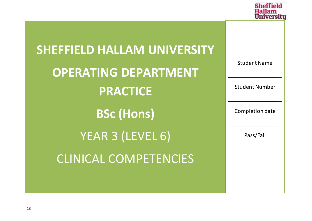

| <b>SHEFFIELD HALLAM UNIVERSITY</b> |                       |
|------------------------------------|-----------------------|
| <b>OPERATING DEPARTMENT</b>        | <b>Student Name</b>   |
| <b>PRACTICE</b>                    | <b>Student Number</b> |
| <b>BSc (Hons)</b>                  | Completion date       |
| YEAR 3 (LEVEL 6)                   | Pass/Fail             |
| <b>CLINICAL COMPETENCIES</b>       |                       |
|                                    |                       |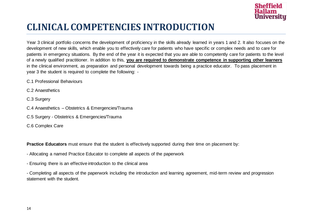

### **CLINICAL COMPETENCIES INTRODUCTION**

Year 3 clinical portfolio concerns the development of proficiency in the skills already learned in years 1 and 2. It also focuses on the development of new skills, which enable you to effectively care for patients who have specific or complex needs and to care for patients in emergency situations. By the end of the year it is expected that you are able to competently care for patients to the level of a newly qualified practitioner. In addition to this, **you are required to demonstrate competence in supporting other learners** in the clinical environment, as preparation and personal development towards being a practice educator. To pass placement in year 3 the student is required to complete the following: -

C.1 Professional Behaviours

C.2 Anaesthetics

C.3 Surgery

- C.4 Anaesthetics Obstetrics & Emergencies/Trauma
- C.5 Surgery Obstetrics & Emergencies/Trauma

C.6 Complex Care

**Practice Educators** must ensure that the student is effectively supported during their time on placement by:

- Allocating a named Practice Educator to complete all aspects of the paperwork
- Ensuring there is an effective introduction to the clinical area

- Completing all aspects of the paperwork including the introduction and learning agreement, mid-term review and progression statement with the student.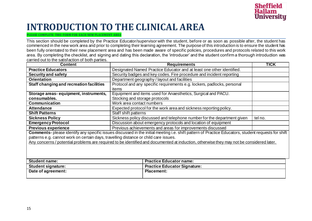

### **INTRODUCTION TO THE CLINICAL AREA**

**PLEASE COMPLETE THIS FORM FOR EACH NEW PLACEMENT AREA**

This section should be completed by the Practice Educator/supervisor with the student, before or as soon as possible after, the student has commenced in the new work area and prior to completing their learning agreement. The purpose of this introduction is to ensure the student has been fully orientated to their new placement area and has been made aware of specific policies, procedures and protocols related to this work area. By completing the checklist, and signing and dating this declaration, the 'introducer' and the student confirm a thorough introduction was carried out to the satisfaction of both parties.

| <b>Content</b>                                                                                                                                                                                                                                                                                                                                                                          | <b>Requirements</b>                                                     | <b>TICK</b> |  |
|-----------------------------------------------------------------------------------------------------------------------------------------------------------------------------------------------------------------------------------------------------------------------------------------------------------------------------------------------------------------------------------------|-------------------------------------------------------------------------|-------------|--|
| <b>Practice Educators</b>                                                                                                                                                                                                                                                                                                                                                               | Designated Named Practice Educator and at least one other identified.   |             |  |
| <b>Security and safety</b>                                                                                                                                                                                                                                                                                                                                                              | Security badges and key codes. Fire procedure and incident reporting    |             |  |
| <b>Orientation</b>                                                                                                                                                                                                                                                                                                                                                                      | Department geography / layout and facilities                            |             |  |
| Staff changing and recreation facilities                                                                                                                                                                                                                                                                                                                                                | Protocol and any specific requirements e.g. lockers, padlocks, personal |             |  |
|                                                                                                                                                                                                                                                                                                                                                                                         | items                                                                   |             |  |
| Storage areas-equipment, instruments,                                                                                                                                                                                                                                                                                                                                                   | Equipment and items used for Anaesthetics, Surgical and PACU.           |             |  |
| consumables.                                                                                                                                                                                                                                                                                                                                                                            | Stocking and storage protocols                                          |             |  |
| <b>Communication</b>                                                                                                                                                                                                                                                                                                                                                                    | Work area contact numbers                                               |             |  |
| <b>Attendance</b>                                                                                                                                                                                                                                                                                                                                                                       | Expected protocol for the work area and sickness reporting policy.      |             |  |
| <b>Shift Patterns</b>                                                                                                                                                                                                                                                                                                                                                                   | Staff shift patterns                                                    |             |  |
| <b>Sickness Policy</b>                                                                                                                                                                                                                                                                                                                                                                  | Sickness policy discussed and telephone number for the department given | tel no.     |  |
| <b>Emergency Protocol</b>                                                                                                                                                                                                                                                                                                                                                               | Discussion about emergency protocols and location of equipment          |             |  |
| <b>Previous experience</b>                                                                                                                                                                                                                                                                                                                                                              | Previous achievements and areas for improvements discussed              |             |  |
| Comments- please identify any specific issues discussed in the initial meeting i.e. shift pattern of Practice Educators, student requests for shift<br>patterns e.g. cannot work on certain days, travelling distance or child care issues.<br>Any concerns / potential problems are required to be identified and documented at induction, otherwise they may not be considered later. |                                                                         |             |  |
| <b>Student name:</b>                                                                                                                                                                                                                                                                                                                                                                    | <b>Practice Educator name:</b>                                          |             |  |
| <b>Student signature:</b>                                                                                                                                                                                                                                                                                                                                                               | <b>Practice Educator Signature:</b>                                     |             |  |
| Date of agreement:                                                                                                                                                                                                                                                                                                                                                                      | <b>Placement:</b>                                                       |             |  |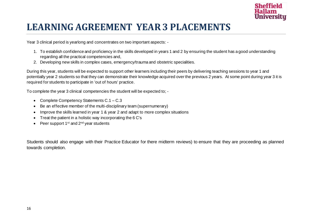

### **LEARNING AGREEMENT YEAR3 PLACEMENTS**

Year 3 clinical period is yearlong and concentrates on two important aspects: -

- 1. To establish confidence and proficiency in the skills developed in years 1 and 2 by ensuring the student has a good understanding regarding all the practical competencies and,
- 2. Developing new skills in complex cases, emergency/trauma and obstetric specialities.

During this year, students will be expected to support other learners including their peers by delivering teaching sessions to year 1 and potentially year 2 students so that they can demonstrate their knowledge acquired over the previous 2 years. At some point during year 3 it is required for students to participate in 'out of hours' practice.

To complete the year 3 clinical competencies the student will be expected to; -

- Complete Competency Statements C.1 C.3
- Be an effective member of the multi-disciplinary team (supernumerary)
- Improve the skills learned in year 1 & year 2 and adapt to more complex situations
- Treat the patient in a holistic way incorporating the 6 C's
- Peer support  $1^{st}$  and  $2^{nd}$  year students

Students should also engage with their Practice Educator for there midterm reviews) to ensure that they are proceeding as planned towards completion.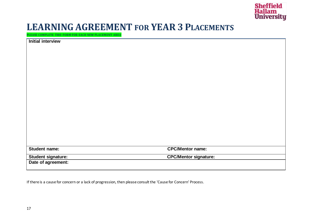

#### **LEARNING AGREEMENT FOR YEAR 3 PLACEMENTS**

**PLEASE COMPLETE THIS FORM FOR EACH NEW PLACEMENT AREA**

| <b>Initial interview</b> |                              |
|--------------------------|------------------------------|
|                          |                              |
|                          |                              |
|                          |                              |
|                          |                              |
|                          |                              |
|                          |                              |
|                          |                              |
|                          |                              |
|                          |                              |
|                          |                              |
|                          |                              |
|                          |                              |
|                          |                              |
|                          |                              |
|                          |                              |
|                          |                              |
|                          |                              |
|                          |                              |
| <b>Student name:</b>     | <b>CPC/Mentor name:</b>      |
| Student signature:       | <b>CPC/Mentor signature:</b> |
| Date of agreement:       |                              |

If there is a cause for concern or a lack of progression, then please consult the 'Cause for Concern' Process.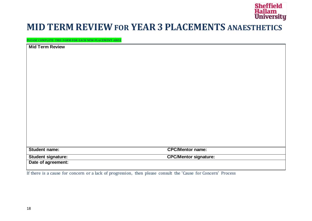

#### **MID TERM REVIEWFOR YEAR3 PLACEMENTS ANAESTHETICS**

**PLEASE COMPLETE THIS FORM FOR EACH NEW PLACEMENT AREA**

| <b>Mid Term Review</b>    |                              |
|---------------------------|------------------------------|
|                           |                              |
|                           |                              |
|                           |                              |
|                           |                              |
|                           |                              |
|                           |                              |
|                           |                              |
|                           |                              |
|                           |                              |
|                           |                              |
|                           |                              |
|                           |                              |
|                           |                              |
|                           |                              |
|                           |                              |
|                           |                              |
|                           |                              |
| Student name:             | <b>CPC/Mentor name:</b>      |
| <b>Student signature:</b> | <b>CPC/Mentor signature:</b> |
| Date of agreement:        |                              |

If there is a cause for concern or a lack of progression, then please consult the 'Cause for Concern' Process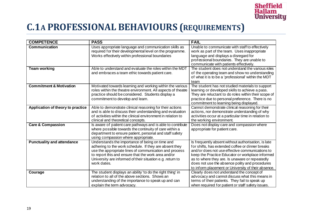

### **C.1A PROFESSIONAL BEHAVIOURS (REQUIREMENTS)**

| <b>COMPETENCE</b>                  | <b>PASS</b>                                                                                                               | <b>FAIL</b>                                                                                         |
|------------------------------------|---------------------------------------------------------------------------------------------------------------------------|-----------------------------------------------------------------------------------------------------|
| <b>Communication</b>               | Uses appropriate language and communication skills as                                                                     | Unable to communicate with staff to effectively                                                     |
|                                    | required for their developmental level on the programme.                                                                  | work as part of the team. Uses inappropriate                                                        |
|                                    | Works effectively within professional boundaries                                                                          | language and displays a disregard for                                                               |
|                                    |                                                                                                                           | professional boundaries. They are unable to                                                         |
|                                    |                                                                                                                           | communicate with patients effectively.                                                              |
| <b>Team working</b>                | Able to understand and evaluate the roles within the MDT                                                                  | The student does not understand the various roles                                                   |
|                                    | and embraces a team ethic towards patient care.                                                                           | of the operating team and show no understanding                                                     |
|                                    |                                                                                                                           | of what it is to be a 'professional' within the MDT                                                 |
| <b>Commitment &amp; Motivation</b> |                                                                                                                           | team                                                                                                |
|                                    | Motivated towards learning and working within the various<br>roles within the theatre environment. All aspects of theatre | The student has not studied materials to support<br>learning or developed skills to achieve a pass. |
|                                    | practice should be considered. Students display a                                                                         | They are reluctant to do roles within their scope of                                                |
|                                    | commitment to develop and learn.                                                                                          | practice due to personal preference. There is no                                                    |
|                                    |                                                                                                                           | commitment to learning being displayed.                                                             |
| Application of theory to practice  | Able to demonstrate clinical reasoning for their actions                                                                  | Cannot demonstrate clinical reasoning for their                                                     |
|                                    | and is able to discuss their understanding and evaluation                                                                 | actions, nor demonstrate understanding of why                                                       |
|                                    | of activities within the clinical environment in relation to                                                              | activities occur at a particular time in relation to                                                |
|                                    | clinical and theoretical concepts.                                                                                        | the working environment.                                                                            |
| <b>Care &amp; Compassion</b>       | Is aware of patient care pathways and is able to contribute                                                               | Does not display care and compassion where                                                          |
|                                    | where possible towards the continuity of care within a                                                                    | appropriate for patient care.                                                                       |
|                                    | department to ensure patient, personal and staff safety                                                                   |                                                                                                     |
|                                    | using compassion where appropriate.                                                                                       |                                                                                                     |
| <b>Punctuality and attendance</b>  | Understands the importance of being on time and                                                                           | Is frequently absent without authorisation, is late                                                 |
|                                    | adhering to the work schedule. If they are absent they                                                                    | for shifts, has extended coffee or dinner breaks                                                    |
|                                    | use the appropriate lines of communication and process                                                                    | and/or does not use effective communications to                                                     |
|                                    | to report this and ensure that the work area and/or<br>University are informed of their situation e.g. return to          | keep the Practice Educator or workplace informed<br>as to where they are. Is unaware or repeatedly  |
|                                    | work dates.                                                                                                               | does not use the absence polity and procedures                                                      |
|                                    |                                                                                                                           | to inform placement or University of their absence.                                                 |
| Courage                            | The student displays an ability 'to do the right thing' in                                                                | Clearly does not understand the concept of                                                          |
|                                    | relation to all of the above sections. Shows an                                                                           | advocacy and cannot discuss what this means in                                                      |
|                                    | understanding of the importance to speak up and can                                                                       | terms of their patients. They fail to speak up                                                      |
|                                    | explain the term advocacy.                                                                                                | when required for patient or staff safety issues.                                                   |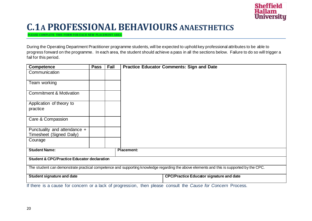

#### **C.1A PROFESSIONAL BEHAVIOURS ANAESTHETICS**

**PLEASE COMPLETE THIS FORM FOR EACH NEW PLACEMENT AREA**

During the Operating Department Practitioner programme students, will be expected to uphold key professional attributes to be able to progress forward on the programme. In each area, the student should achieve a pass in all the sections below. Failure to do so will trigger a fail for this period.

| Competence                                                                                                                               | <b>Pass</b> | Fail | <b>Practice Educator Comments: Sign and Date</b> |
|------------------------------------------------------------------------------------------------------------------------------------------|-------------|------|--------------------------------------------------|
| Communication                                                                                                                            |             |      |                                                  |
| Team working                                                                                                                             |             |      |                                                  |
| <b>Commitment &amp; Motivation</b>                                                                                                       |             |      |                                                  |
| Application of theory to<br>practice                                                                                                     |             |      |                                                  |
| Care & Compassion                                                                                                                        |             |      |                                                  |
| Punctuality and attendance +<br>Timesheet (Signed Daily)                                                                                 |             |      |                                                  |
| Courage                                                                                                                                  |             |      |                                                  |
| <b>Student Name:</b>                                                                                                                     |             |      | <b>Placement:</b>                                |
| <b>Student &amp; CPC/Practice Educator declaration</b>                                                                                   |             |      |                                                  |
| The student can demonstrate practical competence and supporting knowledge regarding the above elements and this is supported by the CPC. |             |      |                                                  |
| Student signature and date                                                                                                               |             |      | <b>CPC/Practice Educator signature and date</b>  |
| If there is a cause for concern or a lack of progression, then please consult the Cause for Concern Process.                             |             |      |                                                  |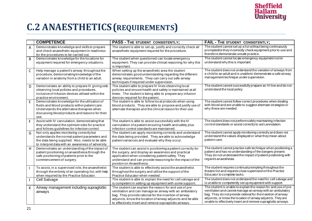

### **C.2 ANAESTHETICS(REQUIREMENTS)**

|              | <b>COMPETENCE</b>                                                                                                                                                                                        | <b>PASS - THE STUDENT CONSISTENTLY;</b>                                                                                                                                                                                                                                                            | FAIL - THE STUDENT CONSISTENTLY;                                                                                                                                                                                                                                                                                              |
|--------------|----------------------------------------------------------------------------------------------------------------------------------------------------------------------------------------------------------|----------------------------------------------------------------------------------------------------------------------------------------------------------------------------------------------------------------------------------------------------------------------------------------------------|-------------------------------------------------------------------------------------------------------------------------------------------------------------------------------------------------------------------------------------------------------------------------------------------------------------------------------|
| A            | Demonstrates knowledge and skills to prepare<br>and check anaesthetic equipment in readiness<br>for the procedures to be carried out.                                                                    | The student is able to set up, justify and correctly check all<br>anaesthetic equipment required for the procedure.                                                                                                                                                                                | The student cannot set up a list without being continuously<br>prompted/or they incorrectly check equipment prior to use and<br>therefore demonstrate unsafe practice.                                                                                                                                                        |
| B            | Demonstrates knowledge for the locations for<br>equipment required for emergency situations.                                                                                                             | The student when questioned can locate emergency<br>equipment. They can provide clinical reasoning for why this<br>is important.                                                                                                                                                                   | The student cannot locate emergency equipment nor/or<br>understand why this is important.                                                                                                                                                                                                                                     |
| $\mathsf{C}$ | Help manage a patient's airway throughout the<br>procedure, demonstrating knowledge of the<br>variation in anatomy from a child to an adult.                                                             | When setting up the anaesthetic area the student<br>demonstrates good understanding regarding the different<br>airway requirements. They can carry out safe airway<br>techniques if required under supervision.                                                                                    | The student does not understand the variation of airways from<br>a child to an adult and is unable to demonstrate a safe airway<br>management technique under supervision.                                                                                                                                                    |
| D            | Demonstrates an ability to prepare IV giving sets<br>observing local policies and procedures,<br>inclusive of infusion devices utilised within the<br>practice environment.                              | The student able to prepare IV lines observing local<br>policies and ensure health and safety is maintained at all<br>times. The student is being able to prepare any infusion<br>devices required for the patient.                                                                                | The student cannot successfully prepare an IV line and do not<br>understand the local policy                                                                                                                                                                                                                                  |
| E            | Demonstrates knowledge for the utilisation of<br>fluids and blood products within patient care.<br>Understands the alternative therapies when<br>discussing blood products and reasons for their<br>use. | The student is able to follow local protocols when using<br>blood products. They are able to propose and justify use of<br>alternate therapies and the clinical reason for their use.                                                                                                              | The student cannot follow correct procedures when dealing<br>with blood and are unable to suggest alternate strategies or<br>why these are needed.                                                                                                                                                                            |
| F            | Assist with IV cannulation, demonstrating that<br>they understand the optimum sites for practice<br>and follows guidelines for infection control                                                         | The student is able to assist successfully with the IV<br>cannulation of a patient ensuring health and safety plus<br>infection control standards are maintained.                                                                                                                                  | The student does not performsafely maintaining infection<br>control standards or assist correctly to aid cannulation.                                                                                                                                                                                                         |
| G            | Not only applies monitoring correctly but<br>understands the normal patient parameters and<br>the data being supplied. Also, needs to be able<br>to interpret data with an awareness of adversity.       | The student can apply monitoring correctly and understand<br>the data being provided. They are able to acknowledge<br>patient variances and evaluate why they occur.                                                                                                                               | The student cannot apply monitoring correctly and does not<br>understand the values displayed or what they mean about<br>patient care.                                                                                                                                                                                        |
| H            | Demonstrates an understanding of the impact of<br>patient positioning on anaesthesia through the<br>safe positioning of patients prior to the<br>commencement of surgery.                                | The student can assist in positioning a patient correctly for<br>the surgery, and display an awareness and practical<br>application when considering patient safety. They<br>understand and can provide reasoning for the impact of the<br>positon on Anaesthesia.                                 | The student cannot practice safe technique when positioning a<br>patient and has no understanding of the dangers present.<br>They do not understand the impact of patient positioning with<br>regards an aesthesia.                                                                                                           |
|              | To assist, in a supervised role, the anaesthetist<br>through the entirety of an operating list, with help<br>when required by the Practice Educator.                                                     | The student is able to effectively assist the anaesthetist<br>throughout the surgery and utilise the support of the<br>Practice Educator when needed                                                                                                                                               | The student requires continual prompting throughout the<br>theatre list and requires close supervision of the Practice<br>Educator to complete tasks.                                                                                                                                                                         |
| $\perp$      | Cell Salvage                                                                                                                                                                                             | The student is able to explain the need for cell salvage and<br>is competent in setting up equipment with some support.                                                                                                                                                                            | The student does not understand the need for cell salvage and<br>is unable to competently set up equipment with support.                                                                                                                                                                                                      |
| К            | Airway management including supraglottic<br>airways                                                                                                                                                      | The student can explain the reason for and use of pre<br>ventilation and can manage an airway with an ambulatory<br>bag. They provide rational for the insertion of airway<br>adjuncts, know the location of airway adjuncts and be able<br>to effectively insert and remove supraglottic airways. | The student is unable to explain the reason for and use of pre<br>ventilation and cannot manage an airway with an ambulatory<br>bag. They do not provide rational for the insertion of airway<br>adjuncts, or know the location of airway adjuncts. They are<br>unable to effectively insert and remove supraglottic airways. |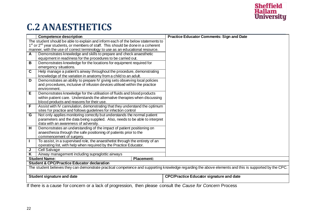

### **C.2 ANAESTHETICS**

|                                                        | <b>Competence description</b>                                                                                                                          | <b>Practice Educator Comments: Sign and Date</b> |  |  |
|--------------------------------------------------------|--------------------------------------------------------------------------------------------------------------------------------------------------------|--------------------------------------------------|--|--|
|                                                        | The student should be able to explain and inform each of the below statements to                                                                       |                                                  |  |  |
|                                                        | 1 <sup>st</sup> or 2 <sup>nd</sup> year students, or members of staff. This should be done in a coherent                                               |                                                  |  |  |
|                                                        | manner, with the use of correct terminology to use as an educational resource.                                                                         |                                                  |  |  |
| A                                                      | Demonstrates knowledge and skills to prepare and check anaesthetic                                                                                     |                                                  |  |  |
|                                                        | equipment in readiness for the procedures to be carried out.                                                                                           |                                                  |  |  |
| В                                                      | Demonstrates knowledge for the locations for equipment required for                                                                                    |                                                  |  |  |
|                                                        | emergency situations.                                                                                                                                  |                                                  |  |  |
| $\overline{\mathbf{c}}$                                | Help manage a patient's airway throughout the procedure, demonstrating                                                                                 |                                                  |  |  |
|                                                        | knowledge of the variation in anatomy from a child to an adult.                                                                                        |                                                  |  |  |
| D                                                      | Demonstrates an ability to prepare IV giving sets observing local policies                                                                             |                                                  |  |  |
|                                                        | and procedures, inclusive of infusion devices utilised within the practice                                                                             |                                                  |  |  |
|                                                        | environment.                                                                                                                                           |                                                  |  |  |
| E                                                      | Demonstrates knowledge for the utilisation of fluids and blood products                                                                                |                                                  |  |  |
|                                                        | within patient care. Understands the alternative therapies when discussing                                                                             |                                                  |  |  |
|                                                        | blood products and reasons for their use.                                                                                                              |                                                  |  |  |
| F                                                      | Assist with IV cannulation, demonstrating that they understand the optimum                                                                             |                                                  |  |  |
|                                                        | sites for practice and follows guidelines for infection control                                                                                        |                                                  |  |  |
| $\overline{\mathsf{G}}$                                | Not only applies monitoring correctly but understands the normal patient                                                                               |                                                  |  |  |
|                                                        | parameters and the data being supplied. Also, needs to be able to interpret                                                                            |                                                  |  |  |
|                                                        | data with an awareness of adversity.                                                                                                                   |                                                  |  |  |
| $\overline{\mathbf{H}}$                                | Demonstrates an understanding of the impact of patient positioning on                                                                                  |                                                  |  |  |
|                                                        | anaesthesia through the safe positioning of patients prior to the                                                                                      |                                                  |  |  |
|                                                        | commencement of surgery.                                                                                                                               |                                                  |  |  |
| $\mathbf{L}$                                           | To assist, in a supervised role, the anaesthetist through the entirety of an                                                                           |                                                  |  |  |
|                                                        | operating list, with help when required by the Practice Educator.                                                                                      |                                                  |  |  |
| J                                                      | <b>Cell Salvage</b>                                                                                                                                    |                                                  |  |  |
| $\overline{\mathsf{K}}$                                | Airway management including supraglottic airways                                                                                                       |                                                  |  |  |
|                                                        | <b>Student Name:</b><br><b>Placement:</b>                                                                                                              |                                                  |  |  |
| <b>Student &amp; CPC/Practice Educator declaration</b> |                                                                                                                                                        |                                                  |  |  |
|                                                        | The student believes they can demonstrate practical competence and supporting knowledge regarding the above elements and this is supported by the CPC. |                                                  |  |  |
|                                                        |                                                                                                                                                        |                                                  |  |  |
|                                                        | <b>Student signature and date</b>                                                                                                                      | <b>CPC/Practice Educator signature and date</b>  |  |  |
|                                                        |                                                                                                                                                        |                                                  |  |  |
|                                                        | If there is a cause for concern or a lack of progression, then please consult the Cause for Concern Process                                            |                                                  |  |  |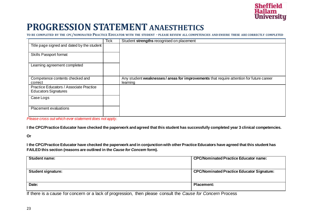

#### **PROGRESSION STATEMENT ANAESTHETICS**

**TO BE COMPLETED BY THE CPC/NOMINATED PRACTICE EDUCATOR WITH THE STUDENT - PLEASE REVIEW ALL COMPETENCIES AND ENSURE THESE ARE CORRECTLY COMPLETED**

|                                                                        | <b>Tick</b> | Student strengths recognised on placement                                                          |
|------------------------------------------------------------------------|-------------|----------------------------------------------------------------------------------------------------|
| Title page signed and dated by the student                             |             |                                                                                                    |
| <b>Skills Passport format</b>                                          |             |                                                                                                    |
| Learning agreement completed                                           |             |                                                                                                    |
| Competence contents checked and<br>correct                             |             | Any student weaknesses/areas for improvements that require attention for future career<br>learning |
| Practice Educators / Associate Practice<br><b>Educators Signatures</b> |             |                                                                                                    |
| Case Logs                                                              |             |                                                                                                    |
| <b>Placement evaluations</b>                                           |             |                                                                                                    |

*Please cross out which ever statement does not apply.*

**I the CPC/Practice Educator have checked the paperwork and agreed that this student has successfully completed year 3 clinical competencies.**

#### **Or**

**I the CPC/Practice Educator have checked the paperwork and in conjunction with other Practice Educators have agreed that this student has FAILED this section (reasons are outlined in the** *Cause for Concern* **form).**

| <b>Student name:</b>      | <b>CPC/Nominated Practice Educator name:</b>      |
|---------------------------|---------------------------------------------------|
| <b>Student signature:</b> | <b>CPC/Nominated Practice Educator Signature:</b> |
| Date:                     | <b>Placement:</b>                                 |

If there is a cause for concern or a lack of progression, then please consult the *Cause for Concern* Process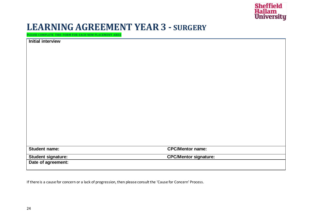

#### **LEARNING AGREEMENT YEAR3 - SURGERY**

**PLEASE COMPLETE THIS FORM FOR EACH NEW PLACEMENT AREA**

| <b>Initial interview</b> |                              |
|--------------------------|------------------------------|
|                          |                              |
|                          |                              |
|                          |                              |
|                          |                              |
|                          |                              |
|                          |                              |
|                          |                              |
|                          |                              |
|                          |                              |
|                          |                              |
|                          |                              |
|                          |                              |
|                          |                              |
|                          |                              |
|                          |                              |
|                          |                              |
|                          |                              |
|                          | <b>CPC/Mentor name:</b>      |
| Student name:            |                              |
| Student signature:       | <b>CPC/Mentor signature:</b> |
| Date of agreement:       |                              |

If there is a cause for concern or a lack of progression, then please consult the 'Cause for Concern' Process.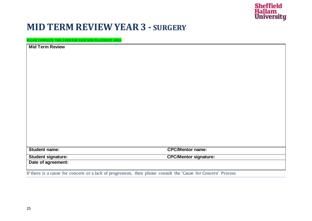

#### **MID TERM REVIEWYEAR3 - SURGERY**

**PLEASE COMPLETE THIS FORM FOR EACH NEW PLACEMENT AREA**

| <b>Mid Term Review</b>    |                              |
|---------------------------|------------------------------|
|                           |                              |
|                           |                              |
|                           |                              |
|                           |                              |
|                           |                              |
|                           |                              |
|                           |                              |
|                           |                              |
|                           |                              |
|                           |                              |
|                           |                              |
|                           |                              |
|                           |                              |
| Student name:             | <b>CPC/Mentor name:</b>      |
| <b>Student signature:</b> | <b>CPC/Mentor signature:</b> |
| Date of agreement:        |                              |

If there is a cause for concern or a lack of progression, then please consult the 'Cause for Concern' Process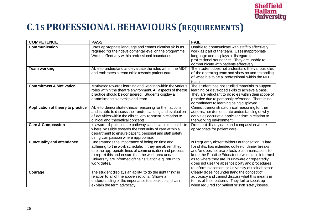

### **C.1S PROFESSIONAL BEHAVIOURS (REQUIREMENTS)**

| <b>COMPETENCE</b>                  | <b>PASS</b>                                                                                                           | <b>FAIL</b>                                                                           |
|------------------------------------|-----------------------------------------------------------------------------------------------------------------------|---------------------------------------------------------------------------------------|
| <b>Communication</b>               | Uses appropriate language and communication skills as                                                                 | Unable to communicate with staff to effectively                                       |
|                                    | required for their developmental level on the programme.                                                              | work as part of the team. Uses inappropriate                                          |
|                                    | Works effectively within professional boundaries                                                                      | language and displays a disregard for                                                 |
|                                    |                                                                                                                       | professional boundaries. They are unable to<br>communicate with patients effectively. |
| <b>Team working</b>                | Able to understand and evaluate the roles within the MDT                                                              | The student does not understand the various roles                                     |
|                                    | and embraces a team ethic towards patient care.                                                                       | of the operating team and show no understanding                                       |
|                                    |                                                                                                                       | of what it is to be a 'professional' within the MDT                                   |
|                                    |                                                                                                                       | team                                                                                  |
| <b>Commitment &amp; Motivation</b> | Motivated towards learning and working within the various                                                             | The student has not studied materials to support                                      |
|                                    | roles within the theatre environment. All aspects of theatre                                                          | learning or developed skills to achieve a pass.                                       |
|                                    | practice should be considered. Students display a                                                                     | They are reluctant to do roles within their scope of                                  |
|                                    | commitment to develop and learn.                                                                                      | practice due to personal preference. There is no                                      |
|                                    |                                                                                                                       | commitment to learning being displayed.                                               |
| Application of theory to practice  | Able to demonstrate clinical reasoning for their actions                                                              | Cannot demonstrate clinical reasoning for their                                       |
|                                    | and is able to discuss their understanding and evaluation                                                             | actions, nor demonstrate understanding of why                                         |
|                                    | of activities within the clinical environment in relation to                                                          | activities occur at a particular time in relation to                                  |
|                                    | clinical and theoretical concepts.                                                                                    | the working environment.                                                              |
| <b>Care &amp; Compassion</b>       | Is aware of patient care pathways and is able to contribute<br>where possible towards the continuity of care within a | Does not display care and compassion where<br>appropriate for patient care.           |
|                                    | department to ensure patient, personal and staff safety                                                               |                                                                                       |
|                                    | using compassion where appropriate.                                                                                   |                                                                                       |
| <b>Punctuality and attendance</b>  | Understands the importance of being on time and                                                                       | Is frequently absent without authorisation, is late                                   |
|                                    | adhering to the work schedule. If they are absent they                                                                | for shifts, has extended coffee or dinner breaks                                      |
|                                    | use the appropriate lines of communication and process                                                                | and/or does not use effective communications to                                       |
|                                    | to report this and ensure that the work area and/or                                                                   | keep the Practice Educator or workplace informed                                      |
|                                    | University are informed of their situation e.g. return to                                                             | as to where they are. Is unaware or repeatedly                                        |
|                                    | work dates.                                                                                                           | does not use the absence polity and procedures                                        |
|                                    |                                                                                                                       | to inform placement or University of their absence.                                   |
| Courage                            | The student displays an ability 'to do the right thing' in                                                            | Clearly does not understand the concept of                                            |
|                                    | relation to all of the above sections. Shows an                                                                       | advocacy and cannot discuss what this means in                                        |
|                                    | understanding of the importance to speak up and can                                                                   | terms of their patients. They fail to speak up                                        |
|                                    | explain the term advocacy.                                                                                            | when required for patient or staff safety issues.                                     |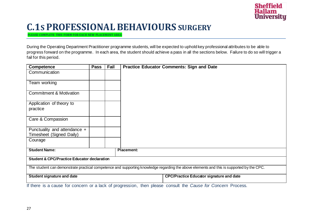

#### **C.1S PROFESSIONAL BEHAVIOURS SURGERY**

**PLEASE COMPLETE THIS FORM FOR EACH NEW PLACEMENT AREA**

During the Operating Department Practitioner programme students, will be expected to uphold key professional attributes to be able to progress forward on the programme. In each area, the student should achieve a pass in all the sections below. Failure to do so will trigger a fail for this period.

| Competence                                                                                                                               | <b>Pass</b> | Fail | <b>Practice Educator Comments: Sign and Date</b> |
|------------------------------------------------------------------------------------------------------------------------------------------|-------------|------|--------------------------------------------------|
| Communication                                                                                                                            |             |      |                                                  |
| Team working                                                                                                                             |             |      |                                                  |
| <b>Commitment &amp; Motivation</b>                                                                                                       |             |      |                                                  |
| Application of theory to<br>practice                                                                                                     |             |      |                                                  |
| Care & Compassion                                                                                                                        |             |      |                                                  |
| Punctuality and attendance +<br>Timesheet (Signed Daily)                                                                                 |             |      |                                                  |
| Courage                                                                                                                                  |             |      |                                                  |
| <b>Student Name:</b>                                                                                                                     |             |      | <b>Placement:</b>                                |
| <b>Student &amp; CPC/Practice Educator declaration</b>                                                                                   |             |      |                                                  |
| The student can demonstrate practical competence and supporting knowledge regarding the above elements and this is supported by the CPC. |             |      |                                                  |
| Student signature and date                                                                                                               |             |      | <b>CPC/Practice Educator signature and date</b>  |
| If there is a cause for concern or a lack of progression, then please consult the Cause for Concern Process.                             |             |      |                                                  |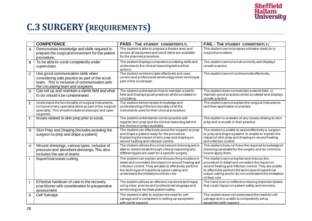

### **C.3 SURGERY(REQUIREMENTS)**

|                | <b>COMPETENCE</b>                                                                                                                                                                       | <b>PASS - THE STUDENT CONSISTENTLY;</b>                                                                                                                                                                                                                                 | <b>FAIL - THE STUDENT CONSISTENTLY;</b>                                                                                                                                                                                                                                                   |
|----------------|-----------------------------------------------------------------------------------------------------------------------------------------------------------------------------------------|-------------------------------------------------------------------------------------------------------------------------------------------------------------------------------------------------------------------------------------------------------------------------|-------------------------------------------------------------------------------------------------------------------------------------------------------------------------------------------------------------------------------------------------------------------------------------------|
| $\overline{A}$ | Demonstrate knowledge and skills required to<br>prepare the surgical environment for the patient<br>procedure.                                                                          | The student is able to prepare a theatre area and<br>ensure all equipment and stock items are available<br>for the planned procedure.                                                                                                                                   | The student cannot prepare a theatre ready for a<br>surgical procedure.                                                                                                                                                                                                                   |
| B              | To be able to scrub competently under<br>supervision.                                                                                                                                   | The student displays competent scrubbing skills and<br>understands the clinical reasoning behind their<br>actions.                                                                                                                                                      | The student cannot scrub correctly and displays<br>unsafe practice                                                                                                                                                                                                                        |
| $\mathsf C$    | Use good communication skills when<br>considering safe practice as part of the scrub<br>team. This is inclusive of communication with<br>the circulating team and surgeons              | The student communicates effectively and uses<br>correct and professional terminology when working as<br>part of the scrub team.                                                                                                                                        | The student cannot communicate effectively.                                                                                                                                                                                                                                               |
| D              | Can set up and maintain a sterile field and what<br>to do should it be contaminated.                                                                                                    | The student understands how to maintain a sterile<br>field and displays good practices whilst scrubbed or<br>circulating.                                                                                                                                               | The student does not maintain a sterile field, or<br>maintain good practices whilst scrubbed and displays<br>unsafe practice.                                                                                                                                                             |
| $\mathsf E$    | Understand the functionality of surgical instruments,<br>inclusive of any specialist items as part of the surgical<br>speciality. This should include endoscopic and open<br>surgeries. | The student demonstrates knowledge and<br>understanding of the functionality of all the<br>instruments used for their clinical procedure.                                                                                                                               | The student cannot explain the surgical instruments<br>and their application in practice                                                                                                                                                                                                  |
| $\mathsf F$    | Issues related to skin prep prior to scrub.                                                                                                                                             | The student understands correct practice with<br>regards skin prep and the clinical reasoning behind<br>the choice or preps available.                                                                                                                                  | The student is unaware of any issues relating to skin<br>prep and is unsafe in their practice                                                                                                                                                                                             |
| G              | Skin Prep and Draping (Includes assisting the<br>surgeon to prep and drape a patient)                                                                                                   | The student can effectively assist the surgeon to prep<br>and drape a patient ready for the procedure.<br>Explaining the impact of skin prep and draping on<br>wound healing and infection control.                                                                     | The student is unable to assist effectively a surgeon<br>to prep and drape a patient. Is unable to explain the<br>impact of skin prep and draping on wound healing<br>and infection control.                                                                                              |
| H              | Wound dressings, various types, inclusive of<br>pressure and absorbent dressings. This also<br>includes the use of drains.                                                              | The student utilises the correct wound dressing and is<br>able to demonstrate through clinical reasoning why<br>different types are used for a specific surgery.                                                                                                        | The student does not have the required knowledge of<br>dressings available for the surgery and do not know<br>how to apply them.                                                                                                                                                          |
|                | Superficial suture cutting.                                                                                                                                                             | The student can explain and discuss the procedure in<br>detail and considers the impact on wound healing and<br>infection control. They are able to effectively perform<br>the technique of superficial suture cutting and<br>understand the limitations of their role. | The student cannot explain and discuss the<br>procedure in detail and considers the impact on<br>wound healing and infection control. They are unable<br>to effectively perform the technique of superficial<br>suture cutting and/or do not understand the limitations<br>of their role. |
| J              | Effective handover of care to the recovery<br>practitioner with consideration to preoperative<br>assessment                                                                             | The student utilises an effective handover technique,<br>using clear, precise and professional language and<br>terminology to facilitate patient safety.                                                                                                                | The hand over is ineffective missing important details<br>that could impact on patient safety and recovery.                                                                                                                                                                               |
| K              | Cell Salvage                                                                                                                                                                            | The student is able to explain the need for cell<br>salvage and is competent in setting up equipment<br>with some support.                                                                                                                                              | The student does not understand the need for cell<br>salvage and is unable to competently set up<br>equipment with support.                                                                                                                                                               |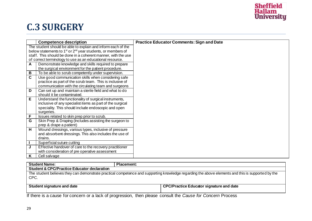

### **C.3 SURGERY**

|                                                                                     | <b>Competence description</b>                                 | <b>Practice Educator Comments: Sign and Date</b> |
|-------------------------------------------------------------------------------------|---------------------------------------------------------------|--------------------------------------------------|
|                                                                                     | The student should be able to explain and inform each of the  |                                                  |
| below statements to 1 <sup>st</sup> or 2 <sup>nd</sup> year students, or members of |                                                               |                                                  |
|                                                                                     | staff. This should be done in a coherent manner, with the use |                                                  |
|                                                                                     | of correct terminology to use as an educational resource.     |                                                  |
| $\mathbf{A}$                                                                        | Demonstrate knowledge and skills required to prepare          |                                                  |
|                                                                                     | the surgical environment for the patient procedure.           |                                                  |
| B                                                                                   | To be able to scrub competently under supervision.            |                                                  |
| $\overline{\mathbf{c}}$                                                             | Use good communication skills when considering safe           |                                                  |
|                                                                                     | practice as part of the scrub team. This is inclusive of      |                                                  |
|                                                                                     | communication with the circulating team and surgeons          |                                                  |
| D                                                                                   | Can set up and maintain a sterile field and what to do        |                                                  |
|                                                                                     | should it be contaminated.                                    |                                                  |
| $\overline{E}$                                                                      | Understand the functionality of surgical instruments,         |                                                  |
|                                                                                     | inclusive of any specialist items as part of the surgical     |                                                  |
|                                                                                     | speciality. This should include endoscopic and open           |                                                  |
|                                                                                     | surgeries.                                                    |                                                  |
| F                                                                                   | Issues related to skin prep prior to scrub.                   |                                                  |
| G                                                                                   | Skin Prep & Draping (Includes assisting the surgeon to        |                                                  |
|                                                                                     | prep & drape a patient)                                       |                                                  |
| $\overline{\mathbf{H}}$                                                             | Wound dressings, various types, inclusive of pressure         |                                                  |
|                                                                                     | and absorbent dressings. This also includes the use of        |                                                  |
|                                                                                     | drains.                                                       |                                                  |
| $\mathbf{I}$                                                                        | Superficial suture cutting                                    |                                                  |
| J                                                                                   | Effective handover of care to the recovery practitioner       |                                                  |
|                                                                                     | with consideration of pre operative assessment                |                                                  |
| K                                                                                   | Cell salvage                                                  |                                                  |

| <b>Student Name:</b>                                                                                                                                      | <b>Placement:</b>                                                                                                                                                                                                                                                                                                  |  |  |  |
|-----------------------------------------------------------------------------------------------------------------------------------------------------------|--------------------------------------------------------------------------------------------------------------------------------------------------------------------------------------------------------------------------------------------------------------------------------------------------------------------|--|--|--|
| <b>Student &amp; CPC/Practice Educator declaration</b>                                                                                                    |                                                                                                                                                                                                                                                                                                                    |  |  |  |
| The student believes they can demonstrate practical competence and supporting knowledge regarding the above elements and this is supported by the<br>CPC. |                                                                                                                                                                                                                                                                                                                    |  |  |  |
| Student signature and date                                                                                                                                | <b>CPC/Practice Educator signature and date</b>                                                                                                                                                                                                                                                                    |  |  |  |
|                                                                                                                                                           | If there is a correct consequence of the leading of the consequence of the correct the $\bigcap_{n\geq 0} \bigcap_{n\geq 0} \bigcap_{n\geq 0} \bigcap_{n\geq 0} \bigcap_{n\geq 0} \bigcap_{n\geq 0} \bigcap_{n\geq 0} \bigcap_{n\geq 0} \bigcap_{n\geq 0} \bigcap_{n\geq 0} \bigcap_{n\geq 0} \bigcap_{n\geq 0} \$ |  |  |  |

If there is a cause for concern or a lack of progression, then please consult the *Cause for Concern* Process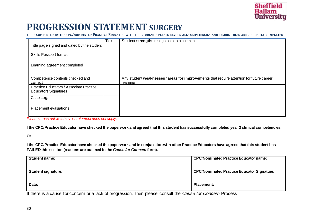

#### **PROGRESSION STATEMENT SURGERY**

**TO BE COMPLETED BY THE CPC/NOMINATED PRACTICE EDUCATOR WITH THE STUDENT - PLEASE REVIEW ALL COMPETENCIES AND ENSURE THESE ARE CORRECTLY COMPLETED**

|                                                                        | Tick | Student strengths recognised on placement                                                          |
|------------------------------------------------------------------------|------|----------------------------------------------------------------------------------------------------|
| Title page signed and dated by the student                             |      |                                                                                                    |
| <b>Skills Passport format</b>                                          |      |                                                                                                    |
| Learning agreement completed                                           |      |                                                                                                    |
| Competence contents checked and<br>correct                             |      | Any student weaknesses/areas for improvements that require attention for future career<br>learning |
| Practice Educators / Associate Practice<br><b>Educators Signatures</b> |      |                                                                                                    |
| Case Logs                                                              |      |                                                                                                    |
| <b>Placement evaluations</b>                                           |      |                                                                                                    |

*Please cross out which ever statement does not apply.*

**I the CPC/Practice Educator have checked the paperwork and agreed that this student has successfully completed year 3 clinical competencies.**

#### **Or**

**I the CPC/Practice Educator have checked the paperwork and in conjunction with other Practice Educators have agreed that this student has FAILED this section (reasons are outlined in the** *Cause for Concern* **form).**

| <b>Student name:</b>      | <b>CPC/Nominated Practice Educator name:</b>      |
|---------------------------|---------------------------------------------------|
| <b>Student signature:</b> | <b>CPC/Nominated Practice Educator Signature:</b> |
| Date:                     | <b>Placement:</b>                                 |

If there is a cause for concern or a lack of progression, then please consult the *Cause for Concern* Process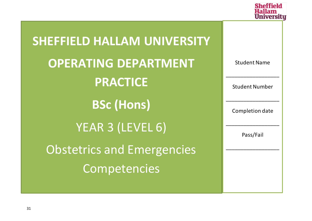

| <b>SHEFFIELD HALLAM UNIVERSITY</b> |                       |
|------------------------------------|-----------------------|
| <b>OPERATING DEPARTMENT</b>        | <b>Student Name</b>   |
| <b>PRACTICE</b>                    | <b>Student Number</b> |
| <b>BSc (Hons)</b>                  | Completion date       |
| YEAR 3 (LEVEL 6)                   | Pass/Fail             |
| <b>Obstetrics and Emergencies</b>  |                       |
| Competencies                       |                       |
|                                    |                       |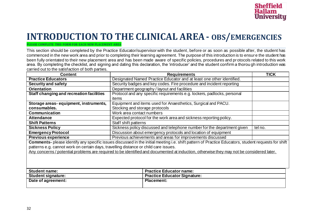

#### **INTRODUCTION TO THE CLINICAL AREA- OBS/EMERGENCIES**

#### **PLEASE COMPLETE THIS FORM FOR EACH NEW PLACEMENT AREA**

This section should be completed by the Practice Educator/supervisor with the student, before or as soon as possible after, the student has commenced in the new work area and prior to completing their learning agreement. The purpose of this introduction is to ensur e the student has been fully orientated to their new placement area and has been made aware of specific policies, procedures and pr otocols related to this work area. By completing the checklist, and signing and dating this declaration, the 'introducer' and the student confirm a thorou gh introduction was carried out to the satisfaction of both parties.

| <b>Content</b>                                                                       | <b>Requirements</b>                                                                                                                                 | <b>TICK</b> |  |  |
|--------------------------------------------------------------------------------------|-----------------------------------------------------------------------------------------------------------------------------------------------------|-------------|--|--|
| <b>Practice Educators</b>                                                            | Designated Named Practice Educator and at least one other identified.                                                                               |             |  |  |
| <b>Security and safety</b>                                                           | Security badges and key codes. Fire procedure and incident reporting                                                                                |             |  |  |
| <b>Orientation</b>                                                                   | Department geography / layout and facilities                                                                                                        |             |  |  |
| Staff changing and recreation facilities                                             | Protocol and any specific requirements e.g. lockers, padlocks, personal                                                                             |             |  |  |
|                                                                                      | items                                                                                                                                               |             |  |  |
| Storage areas-equipment, instruments,                                                | Equipment and items used for Anaesthetics, Surgical and PACU.                                                                                       |             |  |  |
| consumables.                                                                         | Stocking and storage protocols                                                                                                                      |             |  |  |
| <b>Communication</b>                                                                 | Work area contact numbers                                                                                                                           |             |  |  |
| <b>Attendance</b>                                                                    | Expected protocol for the work area and sickness reporting policy.                                                                                  |             |  |  |
| <b>Shift Patterns</b>                                                                | Staff shift patterns                                                                                                                                |             |  |  |
| <b>Sickness Policy</b>                                                               | Sickness policy discussed and telephone number for the department given<br>tel no.                                                                  |             |  |  |
| <b>Emergency Protocol</b>                                                            | Discussion about emergency protocols and location of equipment                                                                                      |             |  |  |
| <b>Previous experience</b>                                                           | Previous achievements and areas for improvements discussed                                                                                          |             |  |  |
|                                                                                      | Comments- please identify any specific issues discussed in the initial meeting i.e. shift pattern of Practice Educators, student requests for shift |             |  |  |
| patterns e.g. cannot work on certain days, travelling distance or child care issues. |                                                                                                                                                     |             |  |  |
|                                                                                      | Any concerns / potential problems are required to be identified and documented at induction, otherwise they may not be considered later.            |             |  |  |
|                                                                                      |                                                                                                                                                     |             |  |  |
| <b>Student name:</b>                                                                 | <b>Practice Educator name:</b>                                                                                                                      |             |  |  |
| <b>Student signature:</b>                                                            | <b>Practice Educator Signature:</b>                                                                                                                 |             |  |  |
| Date of agreement:                                                                   | <b>Placement:</b>                                                                                                                                   |             |  |  |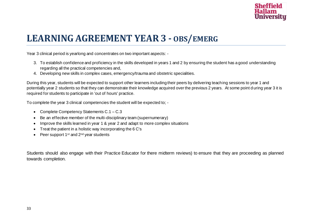

### **LEARNING AGREEMENT YEAR3 - OBS/EMERG**

Year 3 clinical period is yearlong and concentrates on two important aspects: -

- 3. To establish confidence and proficiency in the skills developed in years 1 and 2 by ensuring the student has a good understanding regarding all the practical competencies and,
- 4. Developing new skills in complex cases, emergency/trauma and obstetric specialities.

During this year, students will be expected to support other learners including their peers by delivering teaching sessions to year 1 and potentially year 2 students so that they can demonstrate their knowledge acquired over the previous 2 years. At some point during year 3 it is required for students to participate in 'out of hours' practice.

To complete the year 3 clinical competencies the student will be expected to; -

- Complete Competency Statements C.1 C.3
- Be an effective member of the multi-disciplinary team (supernumerary)
- Improve the skills learned in year 1 & year 2 and adapt to more complex situations
- Treat the patient in a holistic way incorporating the 6 C's
- Peer support  $1^{st}$  and  $2^{nd}$  year students

Students should also engage with their Practice Educator for there midterm reviews) to ensure that they are proceeding as planned towards completion.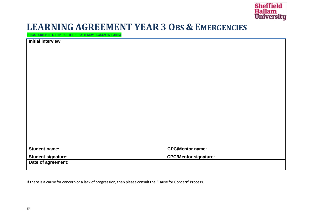

#### **LEARNING AGREEMENT YEAR3 OBS & EMERGENCIES**

**PLEASE COMPLETE THIS FORM FOR EACH NEW PLACEMENT AREA**

| <b>Initial interview</b> |                              |
|--------------------------|------------------------------|
|                          |                              |
|                          |                              |
|                          |                              |
|                          |                              |
|                          |                              |
|                          |                              |
|                          |                              |
|                          |                              |
|                          |                              |
|                          |                              |
|                          |                              |
|                          |                              |
|                          |                              |
|                          |                              |
|                          |                              |
|                          |                              |
| Student name:            | <b>CPC/Mentor name:</b>      |
| Student signature:       | <b>CPC/Mentor signature:</b> |
| Date of agreement:       |                              |

If there is a cause for concern or a lack of progression, then please consult the 'Cause for Concern' Process.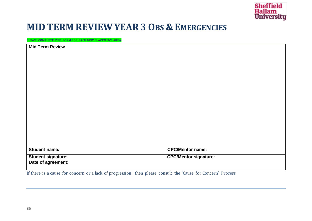

#### **MID TERM REVIEWYEAR3 OBS & EMERGENCIES**

**PLEASE COMPLETE THIS FORM FOR EACH NEW PLACEMENT AREA**

| <b>Mid Term Review</b> |                              |
|------------------------|------------------------------|
|                        |                              |
|                        |                              |
|                        |                              |
|                        |                              |
|                        |                              |
|                        |                              |
|                        |                              |
|                        |                              |
|                        |                              |
|                        |                              |
|                        |                              |
|                        |                              |
| Student name:          | <b>CPC/Mentor name:</b>      |
| Student signature:     | <b>CPC/Mentor signature:</b> |
| Date of agreement:     |                              |

If there is a cause for concern or a lack of progression, then please consult the 'Cause for Concern' Process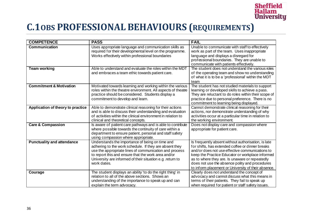

### **C.1OBS PROFESSIONAL BEHAVIOURS (REQUIREMENTS)**

| <b>COMPETENCE</b>                  | <b>PASS</b>                                                                                                               | <b>FAIL</b>                                                                                           |
|------------------------------------|---------------------------------------------------------------------------------------------------------------------------|-------------------------------------------------------------------------------------------------------|
| <b>Communication</b>               | Uses appropriate language and communication skills as                                                                     | Unable to communicate with staff to effectively                                                       |
|                                    | required for their developmental level on the programme.                                                                  | work as part of the team. Uses inappropriate                                                          |
|                                    | Works effectively within professional boundaries                                                                          | language and displays a disregard for                                                                 |
|                                    |                                                                                                                           | professional boundaries. They are unable to                                                           |
|                                    |                                                                                                                           | communicate with patients effectively.                                                                |
| <b>Team working</b>                | Able to understand and evaluate the roles within the MDT                                                                  | The student does not understand the various roles                                                     |
|                                    | and embraces a team ethic towards patient care.                                                                           | of the operating team and show no understanding                                                       |
|                                    |                                                                                                                           | of what it is to be a 'professional' within the MDT                                                   |
|                                    |                                                                                                                           | team                                                                                                  |
| <b>Commitment &amp; Motivation</b> | Motivated towards learning and working within the various<br>roles within the theatre environment. All aspects of theatre | The student has not studied materials to support<br>learning or developed skills to achieve a pass.   |
|                                    | practice should be considered. Students display a                                                                         | They are reluctant to do roles within their scope of                                                  |
|                                    | commitment to develop and learn.                                                                                          | practice due to personal preference. There is no                                                      |
|                                    |                                                                                                                           | commitment to learning being displayed.                                                               |
| Application of theory to practice  | Able to demonstrate clinical reasoning for their actions                                                                  | Cannot demonstrate clinical reasoning for their                                                       |
|                                    | and is able to discuss their understanding and evaluation                                                                 | actions, nor demonstrate understanding of why                                                         |
|                                    | of activities within the clinical environment in relation to                                                              | activities occur at a particular time in relation to                                                  |
|                                    | clinical and theoretical concepts.                                                                                        | the working environment.                                                                              |
| <b>Care &amp; Compassion</b>       | Is aware of patient care pathways and is able to contribute                                                               | Does not display care and compassion where                                                            |
|                                    | where possible towards the continuity of care within a                                                                    | appropriate for patient care.                                                                         |
|                                    | department to ensure patient, personal and staff safety                                                                   |                                                                                                       |
|                                    | using compassion where appropriate.                                                                                       |                                                                                                       |
| <b>Punctuality and attendance</b>  | Understands the importance of being on time and                                                                           | Is frequently absent without authorisation, is late                                                   |
|                                    | adhering to the work schedule. If they are absent they                                                                    | for shifts, has extended coffee or dinner breaks                                                      |
|                                    | use the appropriate lines of communication and process                                                                    | and/or does not use effective communications to                                                       |
|                                    | to report this and ensure that the work area and/or                                                                       | keep the Practice Educator or workplace informed                                                      |
|                                    | University are informed of their situation e.g. return to<br>work dates.                                                  | as to where they are. Is unaware or repeatedly                                                        |
|                                    |                                                                                                                           | does not use the absence polity and procedures<br>to inform placement or University of their absence. |
| Courage                            | The student displays an ability 'to do the right thing' in                                                                | Clearly does not understand the concept of                                                            |
|                                    | relation to all of the above sections. Shows an                                                                           | advocacy and cannot discuss what this means in                                                        |
|                                    | understanding of the importance to speak up and can                                                                       | terms of their patients. They fail to speak up                                                        |
|                                    | explain the term advocacy.                                                                                                | when required for patient or staff safety issues.                                                     |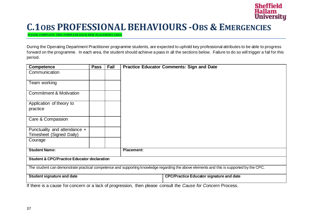

#### **C.1OBS PROFESSIONAL BEHAVIOURS -OBS & EMERGENCIES**

**PLEASE COMPLETE THIS FORM FOR EACH NEW PLACEMENT AREA**

During the Operating Department Practitioner programme students, are expected to uphold key professional attributes to be able to progress forward on the programme. In each area, the student should achieve a pass in all the sections below. Failure to do so will trigger a fail for this period.

| <b>Competence</b><br><b>Pass</b>                                                                                                         |  | Fail | <b>Practice Educator Comments: Sign and Date</b> |
|------------------------------------------------------------------------------------------------------------------------------------------|--|------|--------------------------------------------------|
| Communication                                                                                                                            |  |      |                                                  |
|                                                                                                                                          |  |      |                                                  |
| Team working                                                                                                                             |  |      |                                                  |
| <b>Commitment &amp; Motivation</b>                                                                                                       |  |      |                                                  |
| Application of theory to                                                                                                                 |  |      |                                                  |
| practice                                                                                                                                 |  |      |                                                  |
| Care & Compassion                                                                                                                        |  |      |                                                  |
|                                                                                                                                          |  |      |                                                  |
| Punctuality and attendance +                                                                                                             |  |      |                                                  |
| Timesheet (Signed Daily)                                                                                                                 |  |      |                                                  |
| Courage                                                                                                                                  |  |      |                                                  |
| <b>Student Name:</b>                                                                                                                     |  |      | <b>Placement:</b>                                |
|                                                                                                                                          |  |      |                                                  |
| <b>Student &amp; CPC/Practice Educator declaration</b>                                                                                   |  |      |                                                  |
| The student can demonstrate practical competence and supporting knowledge regarding the above elements and this is supported by the CPC. |  |      |                                                  |
| Student signature and date                                                                                                               |  |      | <b>CPC/Practice Educator signature and date</b>  |
| If there is a cause for concern or a lack of progression, then please consult the Cause for Concern Process.                             |  |      |                                                  |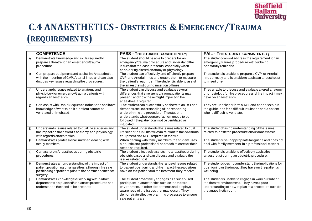

### **C.4 ANAESTHETICS- OBSTETRICS & EMERGENCY/TRAUMA (REQUIREMENTS)**

|              | <b>COMPETENCE</b>                                                                                                                                                          | PASS - THE STUDENT CONSISTENTLY;                                                                                                                                                                                                                                                 | <b>FAIL - THE STUDENT CONSISTENTLY;</b>                                                                                                                                         |
|--------------|----------------------------------------------------------------------------------------------------------------------------------------------------------------------------|----------------------------------------------------------------------------------------------------------------------------------------------------------------------------------------------------------------------------------------------------------------------------------|---------------------------------------------------------------------------------------------------------------------------------------------------------------------------------|
| A            | Demonstrate knowledge and skills required to<br>prepare a theatre for an emergency/trauma<br>procedure.                                                                    | The student should be able to prepare for an<br>emergency/trauma procedure and understand the<br>issues that the case presents, especially when<br>considering altered anatomy or physiology.                                                                                    | The student cannot address the requirement for an<br>emergency/trauma procedure without being<br>constantly reminded.                                                           |
| B            | Can prepare equipment and assist the Anaesthetist<br>with the insertion of CVP, Arterial lines and can also<br>discuss key issues regarding the procedures.                | The student can effectively and efficiently prepare<br>CVP and Arterial lines and enable them to measure<br>the patient's readings. The student is able to assist<br>the anaesthetist during insertion of lines.                                                                 | The student is unable to prepare a CVP or Arterial<br>line correctly and is unable to assist an anaesthetist<br>to insert one.                                                  |
| $\mathsf{C}$ | Understands issues related to anatomy and<br>physiology for emergency/trauma patients with<br>regards anaesthetics.                                                        | The student can discuss and evaluate several<br>differences that emergency/trauma patients may<br>present, and how these might impact on the<br>anaesthesia required.                                                                                                            | They unable to discuss and evaluate altered anatomy<br>or physiology for the procedure and the impact it may<br>have on anaesthetics.                                           |
| D            | Can assist with Rapid Sequence Inductions and have<br>knowledge of what to do if a patient cannot be<br>ventilated or intubated.                                           | The student can successfully assist with an RSI and<br>demonstrate understanding of the reasoning<br>underpinning the procedure. The student<br>understands what course of action needs to be<br>followed if the patient cannot be ventilated or<br>intubated.                   | They are unable perform a RSI and cannot explain<br>the guidelines for a difficult intubation and a patient<br>who is difficult to ventilate.                                   |
| E            | Understands issues related to dual life surgeries and<br>the impact on the patient's anatomy and physiology<br>with regards anaesthetics                                   | The student understands the issues related to dual<br>life scenarios in Obstetrics in relation to the additional<br>equipment and MDT required in theatre.                                                                                                                       | The student has no understanding of the issues<br>related to obstetric procedure about anaesthesia.                                                                             |
| F            | Demonstrates professionalism when dealing with<br>family members                                                                                                           | When dealing with family members the student uses<br>a holistic and professional approach to care for their<br>needs as required.                                                                                                                                                | The student use inappropriate language and does not<br>deal with family members in a professional manner.                                                                       |
| G            | Can assist on Anaesthetics during obstetric<br>procedures                                                                                                                  | The student effectively assists the anaesthetist during<br>obstetric cases and can discuss and evaluate the<br>issues related to it.                                                                                                                                             | The student is unable to effectively assist the<br>anaesthetist during an obstetric procedure.                                                                                  |
| H            | Demonstrates an understanding of the impact of<br>patient positioning on an aesthesia through the safe<br>positioning of patients prior to the commencement of<br>surgery. | The student understands the range of issues related<br>to patient positioning and the impact these positons<br>have on the patient and the treatment they receive.                                                                                                               | The student does not understand the implications for<br>positioning or the impact they have on the patient's<br>wellbeing.                                                      |
|              | Demonstrates knowledge or working within other<br>departments on planned/unplanned procedures and<br>understands the need to be prepared.                                  | The student proactively engages as a supervised<br>participant in anaesthetics outside the theatre<br>environment, in other departments and displays<br>awareness of the issues that may occur. They<br>demonstrate effective planning processes to ensure<br>safe patient care. | The student is unable to engage in work outside of<br>the theatre environment. They have a poor<br>understanding of how to plan to a procedure outside<br>the anaesthetic room. |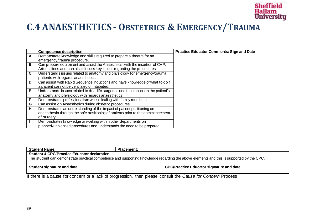

### **C.4 ANAESTHETICS- OBSTETRICS & EMERGENCY/TRAUMA**

|                | <b>Competence description</b>                                                     | <b>Practice Educator Comments: Sign and Date</b> |
|----------------|-----------------------------------------------------------------------------------|--------------------------------------------------|
| A              | Demonstrate knowledge and skills required to prepare a theatre for an             |                                                  |
|                | emergency/trauma procedure.                                                       |                                                  |
| B              | Can prepare equipment and assist the Anaesthetist with the insertion of CVP,      |                                                  |
|                | Arterial lines and can also discuss key issues regarding the procedures.          |                                                  |
| $\overline{c}$ | Understands issues related to anatomy and physiology for emergency/trauma         |                                                  |
|                | patients with regards anaesthetics.                                               |                                                  |
| D              | Can assist with Rapid Sequence Inductions and have knowledge of what to do if     |                                                  |
|                | a patient cannot be ventilated or intubated.                                      |                                                  |
| Έ              | Understands issues related to dual life surgeries and the impact on the patient's |                                                  |
|                | anatomy and physiology with regards anaesthetics                                  |                                                  |
| F              | Demonstrates professionalism when dealing with family members                     |                                                  |
| G              | Can assist on Anaesthetics during obstetric procedures                            |                                                  |
| H              | Demonstrates an understanding of the impact of patient positioning on             |                                                  |
|                | anaesthesia through the safe positioning of patients prior to the commencement    |                                                  |
|                | of surgery.                                                                       |                                                  |
| $\mathbf{I}$   | Demonstrates knowledge or working within other departments on                     |                                                  |
|                | planned/unplanned procedures and understands the need to be prepared.             |                                                  |

| <b>Student Name:</b>                                                                                                                     | <b>Placement:</b> |  |  |
|------------------------------------------------------------------------------------------------------------------------------------------|-------------------|--|--|
| <b>Student &amp; CPC/Practice Educator declaration</b>                                                                                   |                   |  |  |
| The student can demonstrate practical competence and supporting knowledge regarding the above elements and this is supported by the CPC. |                   |  |  |
| CPC/Practice Educator signature and date<br>Student signature and date                                                                   |                   |  |  |

If there is a cause for concern or a lack of progression, then please consult the *Cause for Concern* Process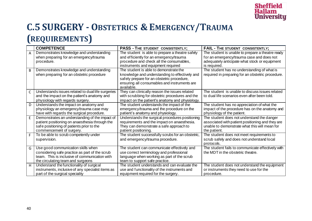

## **C.5 SURGERY - OBSTETRICS & EMERGENCY/TRAUMA**

#### **(REQUIREMENTS)**

|                | <b>COMPETENCE</b>                                                                                                                    | <b>PASS - THE STUDENT CONSISTENTLY;</b>                                                                                                                    | FAIL - THE STUDENT CONSISTENTLY;                                                                                                               |
|----------------|--------------------------------------------------------------------------------------------------------------------------------------|------------------------------------------------------------------------------------------------------------------------------------------------------------|------------------------------------------------------------------------------------------------------------------------------------------------|
| $\overline{A}$ | Demonstrates knowledge and understanding<br>when preparing for an emergency/trauma<br>procedure.                                     | The student is able to prepare a theatre safely<br>and efficiently for an emergency/trauma<br>procedure and check all the consumables,                     | The student is unable to prepare a theatre ready<br>for an emergency/trauma case and does not<br>adequately anticipate what stock or equipment |
|                |                                                                                                                                      | instruments and equipment required<br>The student is able to demonstrate the                                                                               | is required.                                                                                                                                   |
| B              | Demonstrates knowledge and understanding<br>when preparing for an obstetric procedure                                                | knowledge and understanding to effectively and<br>safely prepare for an obstetric procedure,<br>ensuring all consumables and instruments are<br>available. | The student has no understanding of what is<br>required in preparing for an obstetric procedure.                                               |
| $\mathsf{C}$   | Understands issues related to dual life surgeries<br>and the impact on the patient's anatomy and<br>physiology with regards surgery. | They can clinically reason the issues related<br>with scrubbing for obstetric procedures and the<br>impact on the patient's anatomy and physiology.        | The student is unable to discuss issues related<br>to dual life scenarios even after been told.                                                |
| D              | Understands the impact on anatomy and                                                                                                | The student understands the impact of the                                                                                                                  | The student has no appreciation of what the                                                                                                    |
|                | physiology an emergency/trauma case may<br>have with regards the surgical procedure.                                                 | emergency/trauma and the procedure on the<br>patient's anatomy and physiology.                                                                             | impact of the procedure has on the anatomy and<br>physiology of the patient.                                                                   |
| E              | Demonstrates an understanding of the impact of                                                                                       | Understands the surgical procedures positioning                                                                                                            | The student does not understand the danger                                                                                                     |
|                | patient positioning on anaesthesia through the<br>safe positioning of patients prior to the<br>commencement of surgery.              | requirements and the impact on anaesthesia.<br>They can demonstrate a safe approach to<br>patient positioning.                                             | associated with patient positioning and they are<br>unable to demonstrate what this will mean for<br>the patient.                              |
| F              | To be able to scrub competently under<br>supervision.                                                                                | The student successfully scrubs for an obstetric,<br>and emergency/trauma procedure.                                                                       | The student does not meet requirements to<br>scrub safely and does not understand local<br>protocols.                                          |
| G              | Use good communication skills when                                                                                                   | The student can communicate effectively and                                                                                                                | The student fails to communicate effectively with                                                                                              |
|                | considering safe practice as part of the scrub<br>team. This is inclusive of communication with<br>the circulating team and surgeons | use correct terminology and professional<br>language when working as part of the scrub<br>team to support safe practice.                                   | the MDT in the obstetric theatre.                                                                                                              |
| H              | Understand the functionality of surgical                                                                                             | The student understands and can evaluate the                                                                                                               | The student does not understand the equipment                                                                                                  |
|                | instruments, inclusive of any specialist items as<br>part of the surgical speciality                                                 | use and functionality of the instruments and<br>equipment required for the surgery.                                                                        | or instruments they need to use for the<br>procedure.                                                                                          |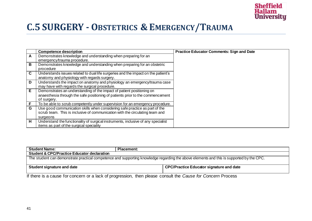

### **C.5 SURGERY - OBSTETRICS & EMERGENCY/TRAUMA**

|   | <b>Competence description</b>                                                     | <b>Practice Educator Comments: Sign and Date</b> |
|---|-----------------------------------------------------------------------------------|--------------------------------------------------|
| A | Demonstrates knowledge and understanding when preparing for an                    |                                                  |
|   | emergency/trauma procedure.                                                       |                                                  |
| B | Demonstrates knowledge and understanding when preparing for an obstetric          |                                                  |
|   | procedure                                                                         |                                                  |
| C | Understands issues related to dual life surgeries and the impact on the patient's |                                                  |
|   | anatomy and physiology with regards surgery.                                      |                                                  |
| D | Understands the impact on anatomy and physiology an emergency/trauma case         |                                                  |
|   | may have with regards the surgical procedure.                                     |                                                  |
| E | Demonstrates an understanding of the impact of patient positioning on             |                                                  |
|   | anaesthesia through the safe positioning of patients prior to the commencement    |                                                  |
|   | of surgery.                                                                       |                                                  |
| F | To be able to scrub competently under supervision for an emergency procedure.     |                                                  |
| G | Use good communication skills when considering safe practice as part of the       |                                                  |
|   | scrub team. This is inclusive of communication with the circulating team and      |                                                  |
|   | surgeons                                                                          |                                                  |
| H | Understand the functionality of surgical instruments, inclusive of any specialist |                                                  |
|   | items as part of the surgical speciality                                          |                                                  |

| <b>Student Name:</b>                                                                                                                     | <b>Placement:</b> |  |  |
|------------------------------------------------------------------------------------------------------------------------------------------|-------------------|--|--|
| <b>Student &amp; CPC/Practice Educator declaration</b>                                                                                   |                   |  |  |
| The student can demonstrate practical competence and supporting knowledge regarding the above elements and this is supported by the CPC. |                   |  |  |
| CPC/Practice Educator signature and date<br>Student signature and date                                                                   |                   |  |  |

If there is a cause for concern or a lack of progression, then please consult the *Cause for Concern* Process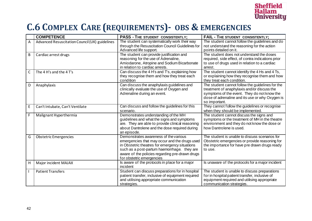

### **C.6 COMPLEX CARE (REQUIREMENTS)- OBS & EMERGENCIES**

|              | <b>COMPETENCE</b>                              | <b>PASS - THE STUDENT CONSISTENTLY;</b>                                                                                                                                                                                                                                 | <b>FAIL - THE STUDENT CONSISTENTLY;</b>                                                                                                                                                                            |
|--------------|------------------------------------------------|-------------------------------------------------------------------------------------------------------------------------------------------------------------------------------------------------------------------------------------------------------------------------|--------------------------------------------------------------------------------------------------------------------------------------------------------------------------------------------------------------------|
| A            | Advanced Resuscitation Council (UK) guidelines | The student can systematically work their way<br>through the Resuscitation Council Guidelines for<br>Advanced life support.                                                                                                                                             | The student cannot follow the guidelines and do<br>not understand the reasoning for the action<br>points detailed on it.                                                                                           |
| B            | Cardiac arrest drugs                           | The student can provide justification and<br>reasoning for the use of Adrenaline,<br>Amiodarone, Atropine and Sodium Bicarbonate<br>in relation to cardiac arrests.                                                                                                     | The student does not understand the doses<br>required, side effect, of contra indications prior<br>to use of drugs used in relation to a cardiac<br>arrest.                                                        |
| $\mathsf{C}$ | The 4 H's and the 4 T's                        | Can discuss the 4 H's and Ts, explaining how<br>they recognise them and how they treat each<br>condition                                                                                                                                                                | The student cannot identify the 4 Hs and 4 Ts,<br>or explaining how they recognise them and how<br>they treat each condition.                                                                                      |
| D            | Anaphylaxis                                    | Can discuss the anaphylaxis guidelines and<br>clinically evaluate the use of Oxygen and<br>Adrenaline during an event.                                                                                                                                                  | The student cannot follow the guidelines for the<br>treatment of anaphylaxis and/or discuss the<br>symptoms of the event. They do not know the<br>dose of adrenaline and its use or why Oxygen is<br>so important. |
| $\mathsf E$  | Can't Intubate, Can't Ventilate                | Can discuss and follow the guidelines for this<br>scenario.                                                                                                                                                                                                             | They cannot follow the guidelines or recognise<br>when they should be implemented.                                                                                                                                 |
| F.           | Malignant Hyperthermia                         | Demonstrates understanding of the MH<br>guidelines and what the signs and symptoms<br>are. They are able to provide clinical reasoning<br>about Dantrolene and the dose required during<br>an episode.                                                                  | The student cannot discuss the signs and<br>symptoms or the treatment of MH in the theatre<br>environment and they do not know the dose or<br>how Dantrolene is used.                                              |
| G            | <b>Obstetric Emergencies</b>                   | Demonstrates awareness of the various<br>emergencies that may occur and the drugs used<br>in Obstetric theatres for emergency situations<br>such as a post-partum haemorrhage. they are<br>aware of the policies regarding pre-drawn drugs<br>for obstetric emergencies | The student is unable to discuss scenarios for<br>Obstetric emergencies or provide reasoning for<br>the importance for have pre drawn drugs ready<br>to use.                                                       |
| H            | Major incident MAJAX                           | Is aware of the protocols in place for a major<br>incident                                                                                                                                                                                                              | Is unaware of the protocols for a major incident                                                                                                                                                                   |
|              | <b>Patient Transfers</b>                       | Student can discuss preparations for in hospital<br>patient transfer, inclusive of equipment required<br>and utilising appropriate communication<br>strategies.                                                                                                         | The student is unable to discuss preparations<br>for in hospital patient transfer, inclusive of<br>equipment required and utilising appropriate<br>communication strategies.                                       |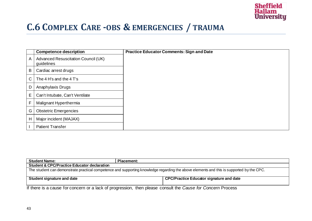

### **C.6 COMPLEX CARE -OBS & EMERGENCIES / TRAUMA**

|   | <b>Competence description</b>                     | <b>Practice Educator Comments: Sign and Date</b> |
|---|---------------------------------------------------|--------------------------------------------------|
| A | Advanced Resuscitation Council (UK)<br>guidelines |                                                  |
| В | Cardiac arrest drugs                              |                                                  |
| C | The 4 H's and the 4 T's                           |                                                  |
| D | Anaphylaxis Drugs                                 |                                                  |
| Е | Can't Intubate, Can't Ventilate                   |                                                  |
| F | Malignant Hyperthermia                            |                                                  |
| G | <b>Obstetric Emergencies</b>                      |                                                  |
| H | Major incident (MAJAX)                            |                                                  |
|   | <b>Patient Transfer</b>                           |                                                  |

| <b>Student Name:</b>                                                                                                                     | <b>Placement:</b> |  |
|------------------------------------------------------------------------------------------------------------------------------------------|-------------------|--|
| <b>Student &amp; CPC/Practice Educator declaration</b>                                                                                   |                   |  |
| The student can demonstrate practical competence and supporting knowledge regarding the above elements and this is supported by the CPC. |                   |  |
| <b>CPC/Practice Educator signature and date</b><br>Student signature and date                                                            |                   |  |
| If there is a cause for concern or a lack of progression, then please consult the Cause for Concern Process.                             |                   |  |

If there is a cause for concern or a lack of progression, then please consult the *Cause for Concern* Process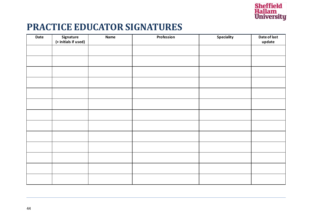

### **PRACTICE EDUCATOR SIGNATURES**

| Date | Signature<br>(+ initials if used) | <b>Name</b> | Profession | <b>Speciality</b> | Date of last<br>update |
|------|-----------------------------------|-------------|------------|-------------------|------------------------|
|      |                                   |             |            |                   |                        |
|      |                                   |             |            |                   |                        |
|      |                                   |             |            |                   |                        |
|      |                                   |             |            |                   |                        |
|      |                                   |             |            |                   |                        |
|      |                                   |             |            |                   |                        |
|      |                                   |             |            |                   |                        |
|      |                                   |             |            |                   |                        |
|      |                                   |             |            |                   |                        |
|      |                                   |             |            |                   |                        |
|      |                                   |             |            |                   |                        |
|      |                                   |             |            |                   |                        |
|      |                                   |             |            |                   |                        |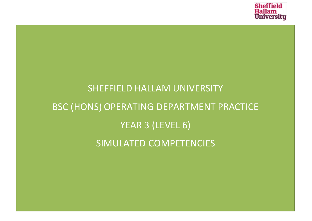

## SHEFFIELD HALLAM UNIVERSITY BSC (HONS) OPERATING DEPARTMENT PRACTICE YEAR 3 (LEVEL 6) SIMULATED COMPETENCIES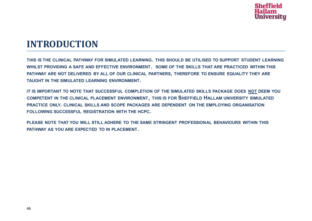

#### **INTRODUCTION**

**THIS IS THE CLINICAL PATHWAY FOR SIMULATED LEARNING. THIS SHOULD BE UTILISED TO SUPPORT STUDENT LEARNING WHILST PROVIDING A SAFE AND EFFECTIVE ENVIRONMENT. SOME OF THE SKILLS THAT ARE PRACTICED WITHIN THIS PATHWAY ARE NOT DELIVERED BY ALL OF OUR CLINICAL PARTNERS, THEREFORE TO ENSURE EQUALITY THEY ARE TAUGHT IN THE SIMULATED LEARNING ENVIRONMENT.** 

**IT IS IMPORTANT TO NOTE THAT SUCCESSFUL COMPLETION OF THE SIMULATED SKILLS PACKAGE DOES NOT DEEM YOU COMPETENT IN THE CLINICAL PLACEMENT ENVIRONMENT, THIS IS FOR SHEFFIELD HALLAM UNIVERSITY SIMULATED PRACTICE ONLY. CLINICAL SKILLS AND SCOPE PACKAGES ARE DEPENDENT ON THE EMPLOYING ORGANISATION FOLLOWING SUCCESSFUL REGISTRATION WITH THE HCPC.** 

**PLEASE NOTE THAT YOU WILL STILL ADHERE TO THE SAME STRINGENT PROFESSIONAL BEHAVIOURS WITHIN THIS PATHWAY AS YOU ARE EXPECTED TO IN PLACEMENT.**